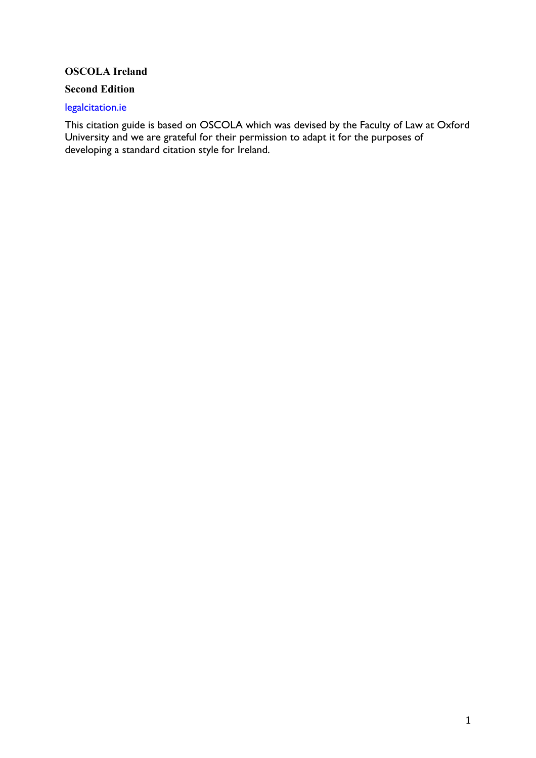# **OSCOLA Ireland**

#### **Second Edition**

#### legalcitation.ie

This citation guide is based on OSCOLA which was devised by the Faculty of Law at Oxford University and we are grateful for their permission to adapt it for the purposes of developing a standard citation style for Ireland.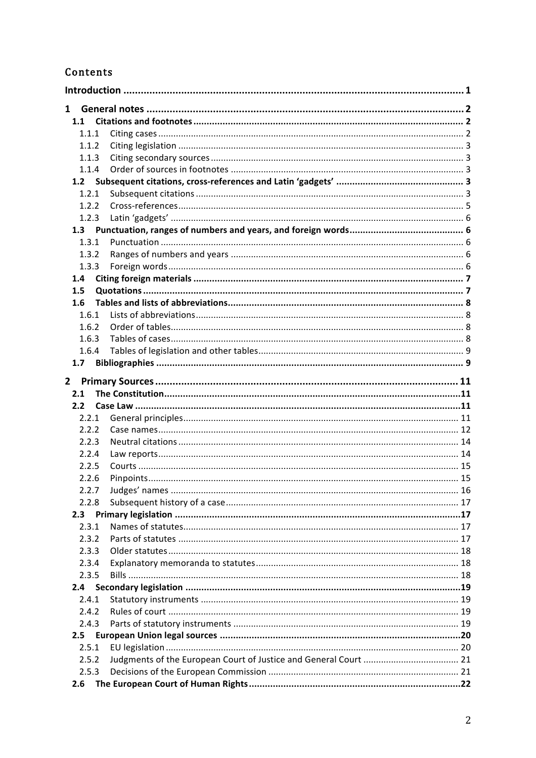# Contents

| $\mathbf{1}$     |  |
|------------------|--|
| 1.1              |  |
| 1.1.1            |  |
| 1.1.2            |  |
| 1.1.3            |  |
| 1.1.4            |  |
|                  |  |
| 1.2.1            |  |
| 1.2.2            |  |
| 1.2.3            |  |
|                  |  |
| 1.3.1            |  |
| 1.3.2            |  |
| 1.3.3            |  |
| 1.4              |  |
| 1.5              |  |
| 1.6              |  |
| 1.6.1            |  |
| 1.6.2            |  |
| 1.6.3            |  |
| 1.6.4            |  |
| 1.7              |  |
| $2^{\circ}$      |  |
|                  |  |
|                  |  |
| 2.1              |  |
| 2.2 <sub>2</sub> |  |
| 2.2.1            |  |
| 2.2.2            |  |
| 2.2.3<br>2.2.4   |  |
| 2.2.5            |  |
|                  |  |
| 2.2.6            |  |
| 2.2.7<br>2.2.8   |  |
| 2.3              |  |
| 2.3.1            |  |
| 2.3.2            |  |
| 2.3.3            |  |
| 2.3.4            |  |
| 2.3.5            |  |
| 2.4              |  |
| 2.4.1            |  |
| 2.4.2            |  |
| 2.4.3            |  |
| 2.5              |  |
| 2.5.1            |  |
| 2.5.2            |  |
| 2.5.3            |  |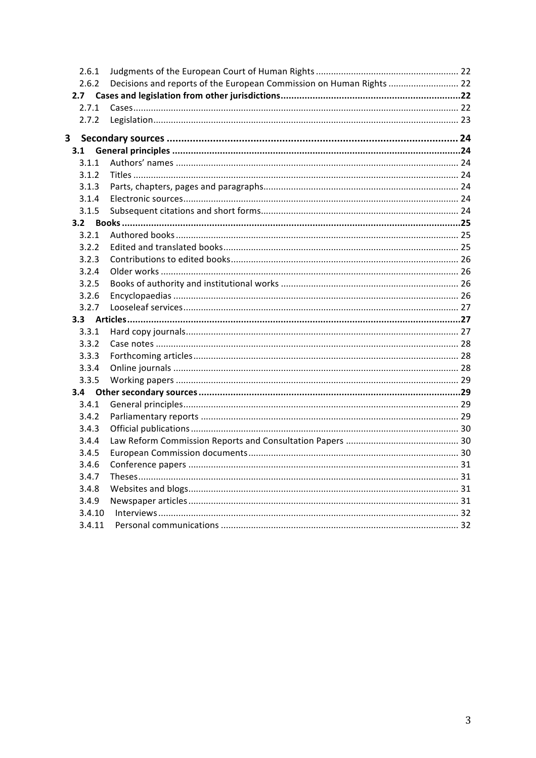| 2.6.1            |                                                                      |  |
|------------------|----------------------------------------------------------------------|--|
| 2.6.2            | Decisions and reports of the European Commission on Human Rights  22 |  |
| 2.7 <sub>2</sub> |                                                                      |  |
| 2.7.1            |                                                                      |  |
| 2.7.2            |                                                                      |  |
| 3                |                                                                      |  |
| 3.1              |                                                                      |  |
| 3.1.1            |                                                                      |  |
| 3.1.2            |                                                                      |  |
| 3.1.3            |                                                                      |  |
| 3.1.4            |                                                                      |  |
| 3.1.5            |                                                                      |  |
|                  |                                                                      |  |
| 3.2.1            |                                                                      |  |
| 3.2.2            |                                                                      |  |
| 3.2.3            |                                                                      |  |
| 3.2.4            |                                                                      |  |
| 3.2.5            |                                                                      |  |
| 3.2.6            |                                                                      |  |
| 3.2.7            |                                                                      |  |
| 3.3              |                                                                      |  |
| 3.3.1            |                                                                      |  |
| 3.3.2            |                                                                      |  |
| 3.3.3            |                                                                      |  |
| 3.3.4            |                                                                      |  |
| 3.3.5            |                                                                      |  |
| 3.4              |                                                                      |  |
| 3.4.1            |                                                                      |  |
| 3.4.2            |                                                                      |  |
| 3.4.3            |                                                                      |  |
| 3.4.4            |                                                                      |  |
| 3.4.5            |                                                                      |  |
| 3.4.6            |                                                                      |  |
| 3.4.7            |                                                                      |  |
| 3.4.8            |                                                                      |  |
| 3.4.9            |                                                                      |  |
| 3.4.10           |                                                                      |  |
| 3.4.11           |                                                                      |  |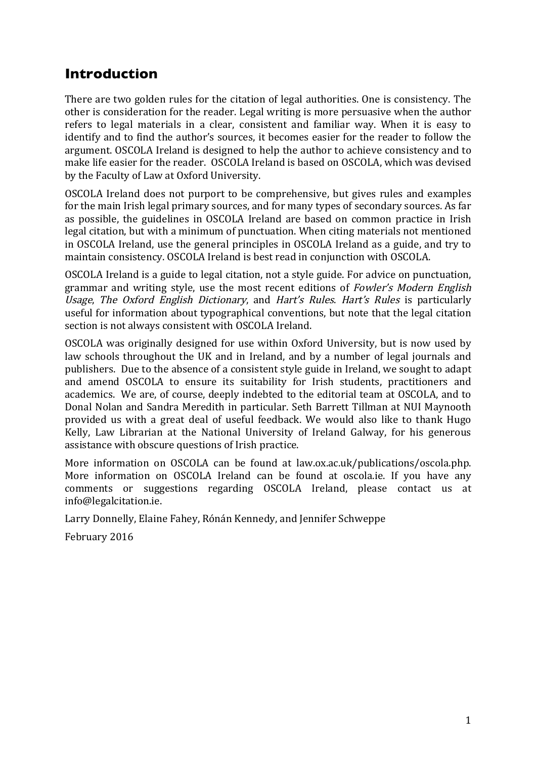# **Introduction**

There are two golden rules for the citation of legal authorities. One is consistency. The other is consideration for the reader. Legal writing is more persuasive when the author refers to legal materials in a clear, consistent and familiar way. When it is easy to identify and to find the author's sources, it becomes easier for the reader to follow the argument. OSCOLA Ireland is designed to help the author to achieve consistency and to make life easier for the reader. OSCOLA Ireland is based on OSCOLA, which was devised by the Faculty of Law at Oxford University.

OSCOLA Ireland does not purport to be comprehensive, but gives rules and examples for the main Irish legal primary sources, and for many types of secondary sources. As far as possible, the guidelines in OSCOLA Ireland are based on common practice in Irish legal citation, but with a minimum of punctuation. When citing materials not mentioned in OSCOLA Ireland, use the general principles in OSCOLA Ireland as a guide, and try to maintain consistency. OSCOLA Ireland is best read in conjunction with OSCOLA.

OSCOLA Ireland is a guide to legal citation, not a style guide. For advice on punctuation, grammar and writing style, use the most recent editions of Fowler's Modern English Usage, The Oxford English Dictionary, and Hart's Rules. Hart's Rules is particularly useful for information about typographical conventions, but note that the legal citation section is not always consistent with OSCOLA Ireland.

OSCOLA was originally designed for use within Oxford University, but is now used by law schools throughout the UK and in Ireland, and by a number of legal journals and publishers. Due to the absence of a consistent style guide in Ireland, we sought to adapt and amend OSCOLA to ensure its suitability for Irish students, practitioners and academics. We are, of course, deeply indebted to the editorial team at OSCOLA, and to Donal Nolan and Sandra Meredith in particular. Seth Barrett Tillman at NUI Maynooth provided us with a great deal of useful feedback. We would also like to thank Hugo Kelly, Law Librarian at the National University of Ireland Galway, for his generous assistance with obscure questions of Irish practice.

More information on OSCOLA can be found at law.ox.ac.uk/publications/oscola.php. More information on OSCOLA Ireland can be found at oscola.ie. If you have any comments or suggestions regarding OSCOLA Ireland, please contact us at info@legalcitation.ie.

Larry Donnelly, Elaine Fahey, Rónán Kennedy, and Jennifer Schweppe

February 2016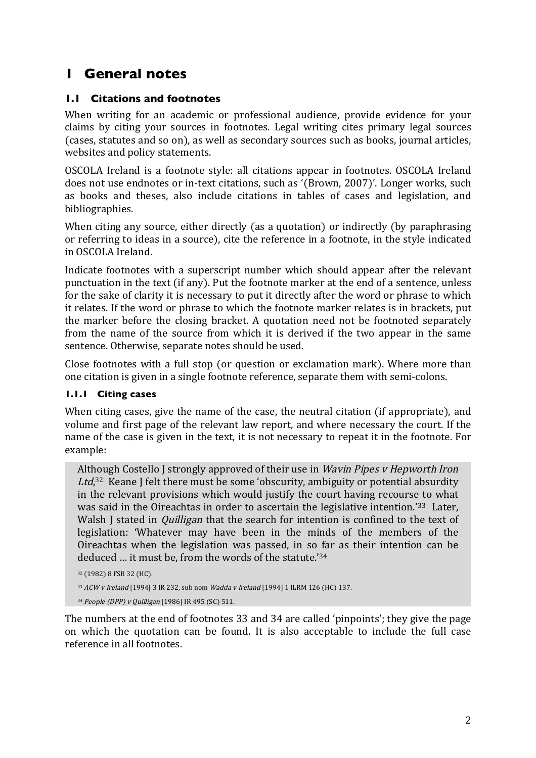# **1 General notes**

## **1.1 Citations and footnotes**

When writing for an academic or professional audience, provide evidence for your claims by citing your sources in footnotes. Legal writing cites primary legal sources (cases, statutes and so on), as well as secondary sources such as books, journal articles, websites and policy statements.

OSCOLA Ireland is a footnote style: all citations appear in footnotes. OSCOLA Ireland does not use endnotes or in-text citations, such as '(Brown, 2007)'. Longer works, such as books and theses, also include citations in tables of cases and legislation, and bibliographies.

When citing any source, either directly (as a quotation) or indirectly (by paraphrasing or referring to ideas in a source), cite the reference in a footnote, in the style indicated in OSCOLA Ireland.

Indicate footnotes with a superscript number which should appear after the relevant punctuation in the text (if any). Put the footnote marker at the end of a sentence, unless for the sake of clarity it is necessary to put it directly after the word or phrase to which it relates. If the word or phrase to which the footnote marker relates is in brackets, put the marker before the closing bracket. A quotation need not be footnoted separately from the name of the source from which it is derived if the two appear in the same sentence. Otherwise, separate notes should be used.

Close footnotes with a full stop (or question or exclamation mark). Where more than one citation is given in a single footnote reference, separate them with semi-colons.

#### **1.1.1 Citing cases**

When citing cases, give the name of the case, the neutral citation (if appropriate), and volume and first page of the relevant law report, and where necessary the court. If the name of the case is given in the text, it is not necessary to repeat it in the footnote. For example:

Although Costello J strongly approved of their use in Wavin Pipes v Hepworth Iron Ltd,<sup>32</sup> Keane J felt there must be some 'obscurity, ambiguity or potential absurdity in the relevant provisions which would justify the court having recourse to what was said in the Oireachtas in order to ascertain the legislative intention.<sup>'33</sup> Later, Walsh I stated in *Quilligan* that the search for intention is confined to the text of legislation: 'Whatever may have been in the minds of the members of the Oireachtas when the legislation was passed, in so far as their intention can be deduced … it must be, from the words of the statute.' 34

<sup>32</sup> (1982) 8 FSR 32 (HC).

<sup>33</sup> ACW v Ireland [1994] 3 IR 232, sub nom Wadda v Ireland [1994] 1 ILRM 126 (HC) 137.

<sup>34</sup> People (DPP) v Quilligan [1986] IR 495 (SC) 511.

The numbers at the end of footnotes 33 and 34 are called 'pinpoints'; they give the page on which the quotation can be found. It is also acceptable to include the full case reference in all footnotes.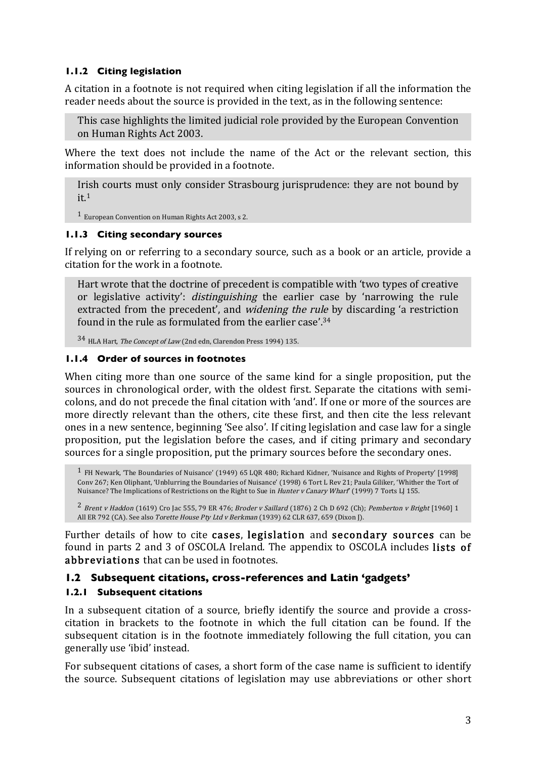#### **1.1.2 Citing legislation**

A citation in a footnote is not required when citing legislation if all the information the reader needs about the source is provided in the text, as in the following sentence:

This case highlights the limited judicial role provided by the European Convention on Human Rights Act 2003.

Where the text does not include the name of the Act or the relevant section, this information should be provided in a footnote.

Irish courts must only consider Strasbourg jurisprudence: they are not bound by  $it<sub>1</sub>$ 

1 European Convention on Human Rights Act 2003, s 2.

#### **1.1.3 Citing secondary sources**

If relying on or referring to a secondary source, such as a book or an article, provide a citation for the work in a footnote.

Hart wrote that the doctrine of precedent is compatible with 'two types of creative or legislative activity': distinguishing the earlier case by 'narrowing the rule extracted from the precedent', and widening the rule by discarding 'a restriction found in the rule as formulated from the earlier case'.34

34 HLA Hart, The Concept of Law (2nd edn, Clarendon Press 1994) 135.

#### **1.1.4 Order of sources in footnotes**

When citing more than one source of the same kind for a single proposition, put the sources in chronological order, with the oldest first. Separate the citations with semicolons, and do not precede the final citation with 'and'. If one or more of the sources are more directly relevant than the others, cite these first, and then cite the less relevant ones in a new sentence, beginning 'See also'. If citing legislation and case law for a single proposition, put the legislation before the cases, and if citing primary and secondary sources for a single proposition, put the primary sources before the secondary ones.

 $^1$  FH Newark, 'The Boundaries of Nuisance' (1949) 65 LOR 480; Richard Kidner, 'Nuisance and Rights of Property' [1998] Conv 267; Ken Oliphant, 'Unblurring the Boundaries of Nuisance' (1998) 6 Tort L Rev 21; Paula Giliker, 'Whither the Tort of Nuisance? The Implications of Restrictions on the Right to Sue in Hunter v Canary Wharf' (1999) 7 Torts LJ 155.

 $2$  Brent v Haddon (1619) Cro Jac 555, 79 ER 476; Broder v Saillard (1876) 2 Ch D 692 (Ch); Pemberton v Bright [1960] 1 All ER 792 (CA). See also Torette House Pty Ltd v Berkman (1939) 62 CLR 637, 659 (Dixon J).

Further details of how to cite cases, legislation and secondary sources can be found in parts 2 and 3 of OSCOLA Ireland. The appendix to OSCOLA includes lists of abbreviations that can be used in footnotes.

# **1.2 Subsequent citations, cross-references and Latin 'gadgets'**

# **1.2.1 Subsequent citations**

In a subsequent citation of a source, briefly identify the source and provide a crosscitation in brackets to the footnote in which the full citation can be found. If the subsequent citation is in the footnote immediately following the full citation, you can generally use 'ibid' instead.

For subsequent citations of cases, a short form of the case name is sufficient to identify the source. Subsequent citations of legislation may use abbreviations or other short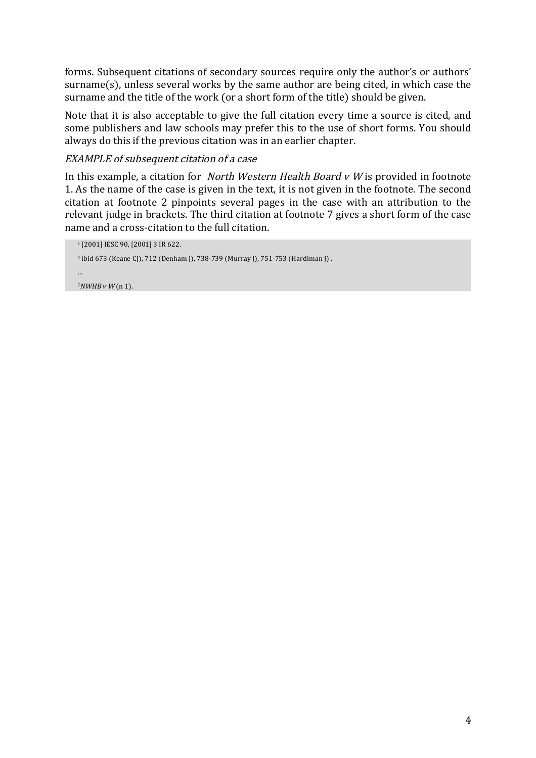forms. Subsequent citations of secondary sources require only the author's or authors' surname(s), unless several works by the same author are being cited, in which case the surname and the title of the work (or a short form of the title) should be given.

Note that it is also acceptable to give the full citation every time a source is cited, and some publishers and law schools may prefer this to the use of short forms. You should always do this if the previous citation was in an earlier chapter.

#### EXAMPLE of subsequent citation of a case

In this example, a citation for *North Western Health Board v W* is provided in footnote 1. As the name of the case is given in the text, it is not given in the footnote. The second citation at footnote 2 pinpoints several pages in the case with an attribution to the relevant judge in brackets. The third citation at footnote 7 gives a short form of the case name and a cross-citation to the full citation.

```
1 [2001] IESC 90, [2001] 3 IR 622.
<sup>2</sup> ibid 673 (Keane CJ), 712 (Denham J), 738-739 (Murray J), 751-753 (Hardiman J).
…
7NWHB V W(n 1).
```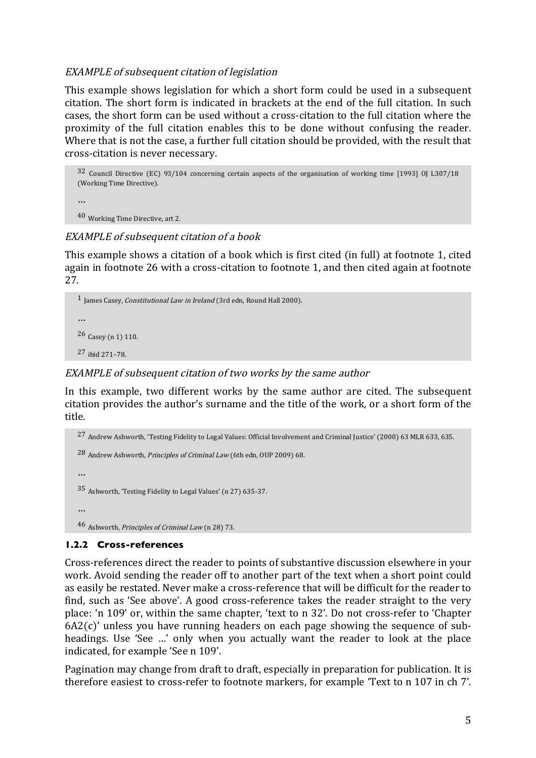#### EXAMPLE of subsequent citation of legislation

This example shows legislation for which a short form could be used in a subsequent citation. The short form is indicated in brackets at the end of the full citation. In such cases, the short form can be used without a cross-citation to the full citation where the proximity of the full citation enables this to be done without confusing the reader. Where that is not the case, a further full citation should be provided, with the result that cross-citation is never necessary.

32 Council Directive (EC) 93/104 concerning certain aspects of the organisation of working time [1993] OJ L307/18 (Working Time Directive).

```
…
```
40 Working Time Directive, art 2.

#### EXAMPLE of subsequent citation of a book

This example shows a citation of a book which is first cited (in full) at footnote 1, cited again in footnote 26 with a cross-citation to footnote 1, and then cited again at footnote 27.



## EXAMPLE of subsequent citation of two works by the same author

In this example, two different works by the same author are cited. The subsequent citation provides the author's surname and the title of the work, or a short form of the title.

```
27 Andrew Ashworth, 'Testing Fidelity to Legal Values: Official Involvement and Criminal Justice' (2000) 63 MLR 633, 635.
28 Andrew Ashworth, Principles of Criminal Law (6th edn, OUP 2009) 68.
…
35 Ashworth, 'Testing Fidelity to Legal Values' (n 27) 635-37.
…
46 Ashworth, Principles of Criminal Law (n 28) 73.
```
# **1.2.2 Cross-references**

Cross-references direct the reader to points of substantive discussion elsewhere in your work. Avoid sending the reader off to another part of the text when a short point could as easily be restated. Never make a cross-reference that will be difficult for the reader to find, such as 'See above'. A good cross-reference takes the reader straight to the very place: 'n 109' or, within the same chapter, 'text to n 32'. Do not cross-refer to 'Chapter 6A2(c)' unless you have running headers on each page showing the sequence of subheadings. Use 'See …' only when you actually want the reader to look at the place indicated, for example 'See n 109'.

Pagination may change from draft to draft, especially in preparation for publication. It is therefore easiest to cross-refer to footnote markers, for example 'Text to n 107 in ch 7'.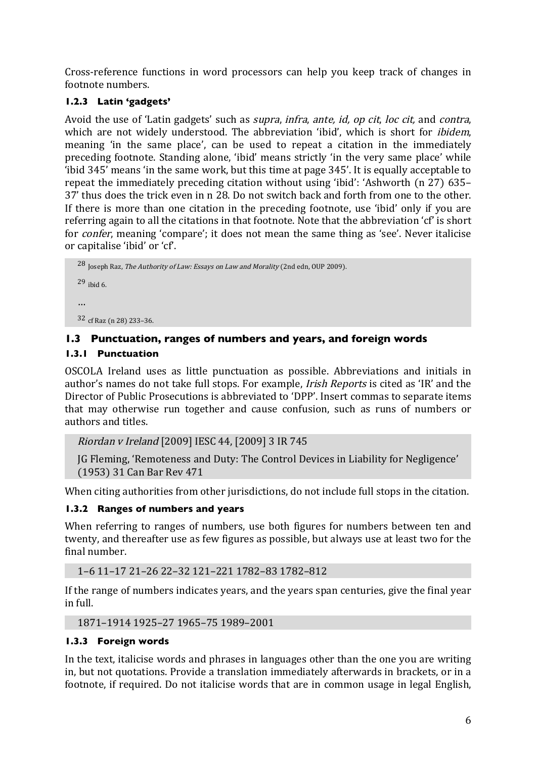Cross-reference functions in word processors can help you keep track of changes in footnote numbers.

# **1.2.3 Latin 'gadgets'**

Avoid the use of 'Latin gadgets' such as *supra*, *infra*, *ante*, *id*, *op cit*, *loc cit*, and *contra*, which are not widely understood. The abbreviation 'ibid', which is short for *ibidem*, meaning 'in the same place', can be used to repeat a citation in the immediately preceding footnote. Standing alone, 'ibid' means strictly 'in the very same place' while 'ibid 345' means 'in the same work, but this time at page 345'. It is equally acceptable to repeat the immediately preceding citation without using 'ibid': 'Ashworth (n 27) 635– 37' thus does the trick even in n 28. Do not switch back and forth from one to the other. If there is more than one citation in the preceding footnote, use 'ibid' only if you are referring again to all the citations in that footnote. Note that the abbreviation 'cf' is short for *confer*, meaning 'compare'; it does not mean the same thing as 'see'. Never italicise or capitalise 'ibid' or 'cf'.

28 Joseph Raz, The Authority of Law: Essays on Law and Morality (2nd edn, OUP 2009). 29 ibid 6. … 32 cf Raz (n 28) 233–36.

# **1.3 Punctuation, ranges of numbers and years, and foreign words**

#### **1.3.1 Punctuation**

OSCOLA Ireland uses as little punctuation as possible. Abbreviations and initials in author's names do not take full stops. For example, Irish Reports is cited as 'IR' and the Director of Public Prosecutions is abbreviated to 'DPP'. Insert commas to separate items that may otherwise run together and cause confusion, such as runs of numbers or authors and titles.

```
Riordan v Ireland [2009] IESC 44, [2009] 3 IR 745
```
JG Fleming, 'Remoteness and Duty: The Control Devices in Liability for Negligence' (1953) 31 Can Bar Rev 471

When citing authorities from other jurisdictions, do not include full stops in the citation.

# **1.3.2 Ranges of numbers and years**

When referring to ranges of numbers, use both figures for numbers between ten and twenty, and thereafter use as few figures as possible, but always use at least two for the final number.

1–6 11–17 21–26 22–32 121–221 1782–83 1782–812

If the range of numbers indicates years, and the years span centuries, give the final year in full.

1871–1914 1925–27 1965–75 1989–2001

#### **1.3.3 Foreign words**

In the text, italicise words and phrases in languages other than the one you are writing in, but not quotations. Provide a translation immediately afterwards in brackets, or in a footnote, if required. Do not italicise words that are in common usage in legal English,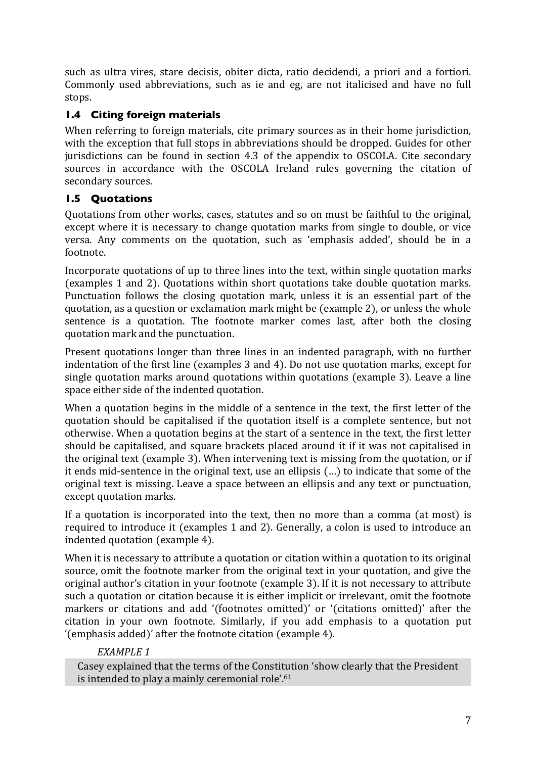such as ultra vires, stare decisis, obiter dicta, ratio decidendi, a priori and a fortiori. Commonly used abbreviations, such as ie and eg, are not italicised and have no full stops.

# **1.4 Citing foreign materials**

When referring to foreign materials, cite primary sources as in their home jurisdiction, with the exception that full stops in abbreviations should be dropped. Guides for other jurisdictions can be found in section 4.3 of the appendix to OSCOLA. Cite secondary sources in accordance with the OSCOLA Ireland rules governing the citation of secondary sources.

# **1.5 Quotations**

Quotations from other works, cases, statutes and so on must be faithful to the original, except where it is necessary to change quotation marks from single to double, or vice versa. Any comments on the quotation, such as 'emphasis added', should be in a footnote.

Incorporate quotations of up to three lines into the text, within single quotation marks (examples 1 and 2). Quotations within short quotations take double quotation marks. Punctuation follows the closing quotation mark, unless it is an essential part of the quotation, as a question or exclamation mark might be (example 2), or unless the whole sentence is a quotation. The footnote marker comes last, after both the closing quotation mark and the punctuation.

Present quotations longer than three lines in an indented paragraph, with no further indentation of the first line (examples 3 and 4). Do not use quotation marks, except for single quotation marks around quotations within quotations (example 3). Leave a line space either side of the indented quotation.

When a quotation begins in the middle of a sentence in the text, the first letter of the quotation should be capitalised if the quotation itself is a complete sentence, but not otherwise. When a quotation begins at the start of a sentence in the text, the first letter should be capitalised, and square brackets placed around it if it was not capitalised in the original text (example 3). When intervening text is missing from the quotation, or if it ends mid-sentence in the original text, use an ellipsis (…) to indicate that some of the original text is missing. Leave a space between an ellipsis and any text or punctuation, except quotation marks.

If a quotation is incorporated into the text, then no more than a comma (at most) is required to introduce it (examples 1 and 2). Generally, a colon is used to introduce an indented quotation (example 4).

When it is necessary to attribute a quotation or citation within a quotation to its original source, omit the footnote marker from the original text in your quotation, and give the original author's citation in your footnote (example 3). If it is not necessary to attribute such a quotation or citation because it is either implicit or irrelevant, omit the footnote markers or citations and add '(footnotes omitted)' or '(citations omitted)' after the citation in your own footnote. Similarly, if you add emphasis to a quotation put '(emphasis added)' after the footnote citation (example 4).

# *EXAMPLE 1*

Casey explained that the terms of the Constitution 'show clearly that the President is intended to play a mainly ceremonial role'. 61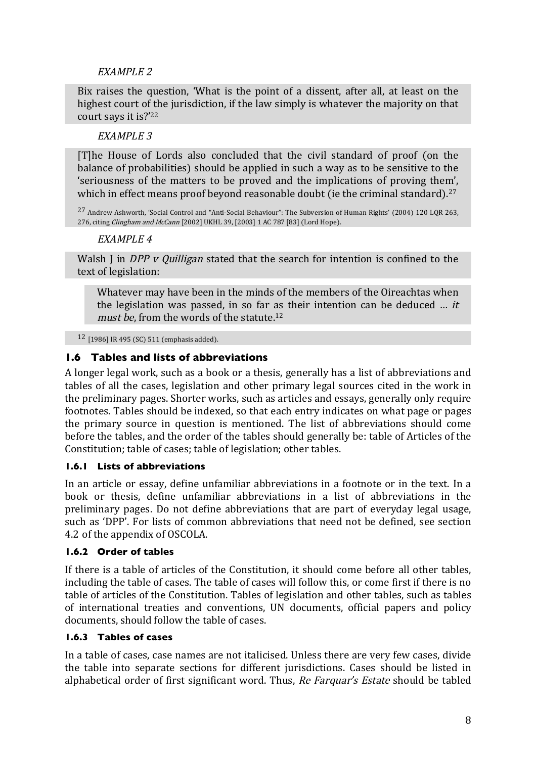## EXAMPLE 2

Bix raises the question, 'What is the point of a dissent, after all, at least on the highest court of the jurisdiction, if the law simply is whatever the majority on that court says it is?'22

#### EXAMPLE 3

[T]he House of Lords also concluded that the civil standard of proof (on the balance of probabilities) should be applied in such a way as to be sensitive to the 'seriousness of the matters to be proved and the implications of proving them', which in effect means proof beyond reasonable doubt (ie the criminal standard).<sup>27</sup>

27 Andrew Ashworth, 'Social Control and "Anti-Social Behaviour": The Subversion of Human Rights' (2004) 120 LQR 263, 276, citing Clingham and McCann [2002] UKHL 39, [2003] 1 AC 787 [83] (Lord Hope).

#### EXAMPLE 4

Walsh J in DPP v Quilligan stated that the search for intention is confined to the text of legislation:

Whatever may have been in the minds of the members of the Oireachtas when the legislation was passed, in so far as their intention can be deduced  $\ldots$  it must be, from the words of the statute.<sup>12</sup>

12 [1986] IR 495 (SC) 511 (emphasis added).

#### **1.6 Tables and lists of abbreviations**

A longer legal work, such as a book or a thesis, generally has a list of abbreviations and tables of all the cases, legislation and other primary legal sources cited in the work in the preliminary pages. Shorter works, such as articles and essays, generally only require footnotes. Tables should be indexed, so that each entry indicates on what page or pages the primary source in question is mentioned. The list of abbreviations should come before the tables, and the order of the tables should generally be: table of Articles of the Constitution; table of cases; table of legislation; other tables.

#### **1.6.1 Lists of abbreviations**

In an article or essay, define unfamiliar abbreviations in a footnote or in the text. In a book or thesis, define unfamiliar abbreviations in a list of abbreviations in the preliminary pages. Do not define abbreviations that are part of everyday legal usage, such as 'DPP'. For lists of common abbreviations that need not be defined, see section 4.2 of the appendix of OSCOLA.

#### **1.6.2 Order of tables**

If there is a table of articles of the Constitution, it should come before all other tables, including the table of cases. The table of cases will follow this, or come first if there is no table of articles of the Constitution. Tables of legislation and other tables, such as tables of international treaties and conventions, UN documents, official papers and policy documents, should follow the table of cases.

#### **1.6.3 Tables of cases**

In a table of cases, case names are not italicised. Unless there are very few cases, divide the table into separate sections for different jurisdictions. Cases should be listed in alphabetical order of first significant word. Thus, Re Farquar's Estate should be tabled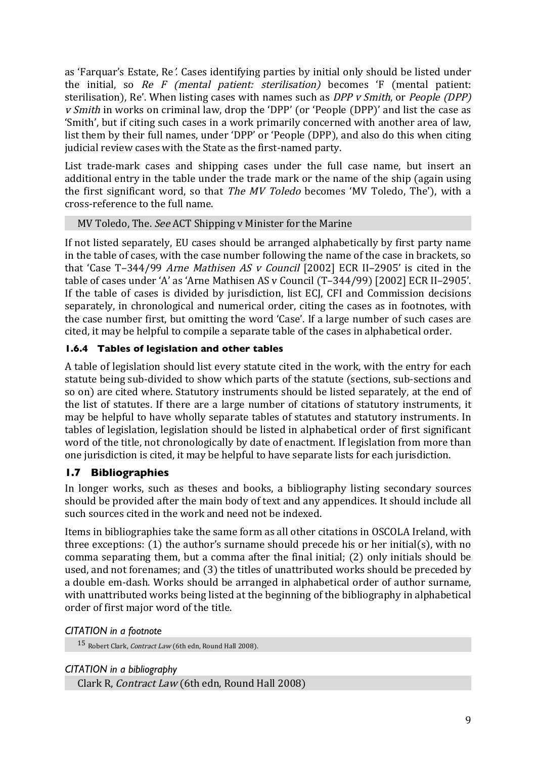as 'Farquar's Estate, Re'. Cases identifying parties by initial only should be listed under the initial, so  $Re \ F$  (mental patient: sterilisation) becomes  $F$  (mental patient: sterilisation), Re'. When listing cases with names such as DPP v Smith, or People (DPP) v Smith in works on criminal law, drop the 'DPP' (or 'People (DPP)' and list the case as 'Smith', but if citing such cases in a work primarily concerned with another area of law, list them by their full names, under 'DPP' or 'People (DPP), and also do this when citing judicial review cases with the State as the first-named party.

List trade-mark cases and shipping cases under the full case name, but insert an additional entry in the table under the trade mark or the name of the ship (again using the first significant word, so that The MV Toledo becomes 'MV Toledo, The'), with a cross-reference to the full name.

#### MV Toledo, The. See ACT Shipping v Minister for the Marine

If not listed separately, EU cases should be arranged alphabetically by first party name in the table of cases, with the case number following the name of the case in brackets, so that 'Case T–344/99 Arne Mathisen AS v Council [2002] ECR II–2905' is cited in the table of cases under 'A' as 'Arne Mathisen AS v Council (T–344/99) [2002] ECR II–2905'. If the table of cases is divided by jurisdiction, list ECJ, CFI and Commission decisions separately, in chronological and numerical order, citing the cases as in footnotes, with the case number first, but omitting the word 'Case'. If a large number of such cases are cited, it may be helpful to compile a separate table of the cases in alphabetical order.

# **1.6.4 Tables of legislation and other tables**

A table of legislation should list every statute cited in the work, with the entry for each statute being sub-divided to show which parts of the statute (sections, sub-sections and so on) are cited where. Statutory instruments should be listed separately, at the end of the list of statutes. If there are a large number of citations of statutory instruments, it may be helpful to have wholly separate tables of statutes and statutory instruments. In tables of legislation, legislation should be listed in alphabetical order of first significant word of the title, not chronologically by date of enactment. If legislation from more than one jurisdiction is cited, it may be helpful to have separate lists for each jurisdiction.

# **1.7 Bibliographies**

In longer works, such as theses and books, a bibliography listing secondary sources should be provided after the main body of text and any appendices. It should include all such sources cited in the work and need not be indexed.

Items in bibliographies take the same form as all other citations in OSCOLA Ireland, with three exceptions: (1) the author's surname should precede his or her initial(s), with no comma separating them, but a comma after the final initial; (2) only initials should be used, and not forenames; and (3) the titles of unattributed works should be preceded by a double em-dash. Works should be arranged in alphabetical order of author surname, with unattributed works being listed at the beginning of the bibliography in alphabetical order of first major word of the title.

#### *CITATION in a footnote*

15 Robert Clark, Contract Law (6th edn, Round Hall 2008).

#### *CITATION in a bibliography*

Clark R, Contract Law (6th edn, Round Hall 2008)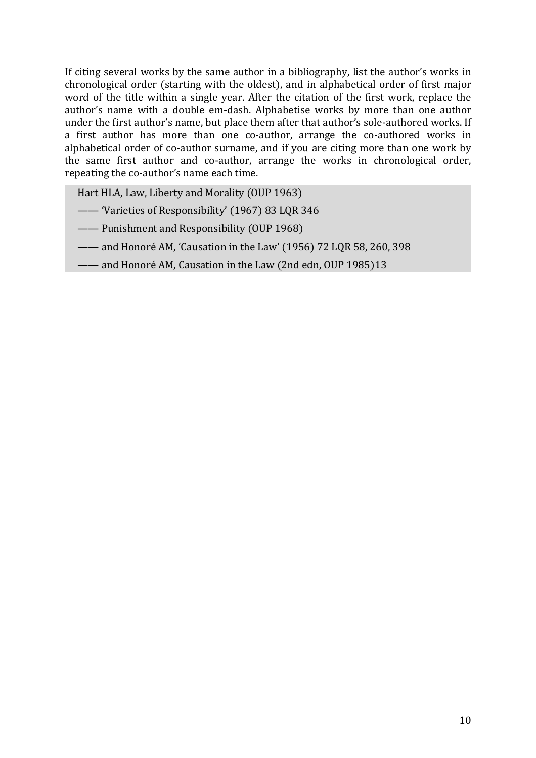If citing several works by the same author in a bibliography, list the author's works in chronological order (starting with the oldest), and in alphabetical order of first major word of the title within a single year. After the citation of the first work, replace the author's name with a double em-dash. Alphabetise works by more than one author under the first author's name, but place them after that author's sole-authored works. If a first author has more than one co-author, arrange the co-authored works in alphabetical order of co-author surname, and if you are citing more than one work by the same first author and co-author, arrange the works in chronological order, repeating the co-author's name each time.

Hart HLA, Law, Liberty and Morality (OUP 1963)

- —— 'Varieties of Responsibility' (1967) 83 LQR 346
- —— Punishment and Responsibility (OUP 1968)
- —— and Honoré AM, 'Causation in the Law' (1956) 72 LQR 58, 260, 398
- —— and Honoré AM, Causation in the Law (2nd edn, OUP 1985)13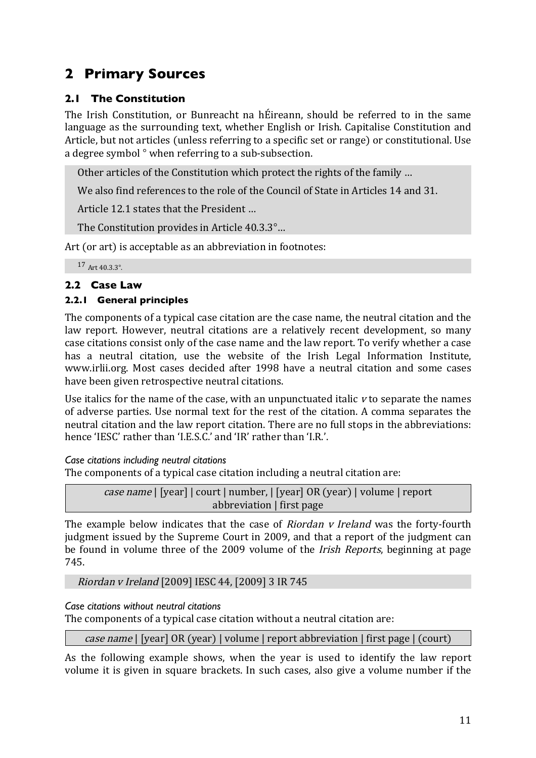# **2 Primary Sources**

# **2.1 The Constitution**

The Irish Constitution, or Bunreacht na hÉireann, should be referred to in the same language as the surrounding text, whether English or Irish. Capitalise Constitution and Article, but not articles (unless referring to a specific set or range) or constitutional. Use a degree symbol ° when referring to a sub-subsection.

Other articles of the Constitution which protect the rights of the family …

We also find references to the role of the Council of State in Articles 14 and 31.

Article 12.1 states that the President …

The Constitution provides in Article 40.3.3°…

Art (or art) is acceptable as an abbreviation in footnotes:

<sup>17</sup> Art 40.3.3°.

# **2.2 Case Law**

# **2.2.1 General principles**

The components of a typical case citation are the case name, the neutral citation and the law report. However, neutral citations are a relatively recent development, so many case citations consist only of the case name and the law report. To verify whether a case has a neutral citation, use the website of the Irish Legal Information Institute, www.irlii.org. Most cases decided after 1998 have a neutral citation and some cases have been given retrospective neutral citations.

Use italics for the name of the case, with an unpunctuated italic  $v$  to separate the names of adverse parties. Use normal text for the rest of the citation. A comma separates the neutral citation and the law report citation. There are no full stops in the abbreviations: hence 'IESC' rather than 'I.E.S.C.' and 'IR' rather than 'I.R.'.

*Case citations including neutral citations*

The components of a typical case citation including a neutral citation are:

case name | [year] | court | number, | [year] OR (year) | volume | report abbreviation | first page

The example below indicates that the case of Riordan v Ireland was the forty-fourth judgment issued by the Supreme Court in 2009, and that a report of the judgment can be found in volume three of the 2009 volume of the Irish Reports, beginning at page 745.

Riordan v Ireland [2009] IESC 44, [2009] 3 IR 745

# *Case citations without neutral citations*

The components of a typical case citation without a neutral citation are:

case name | [year] OR (year) | volume | report abbreviation | first page | (court)

As the following example shows, when the year is used to identify the law report volume it is given in square brackets. In such cases, also give a volume number if the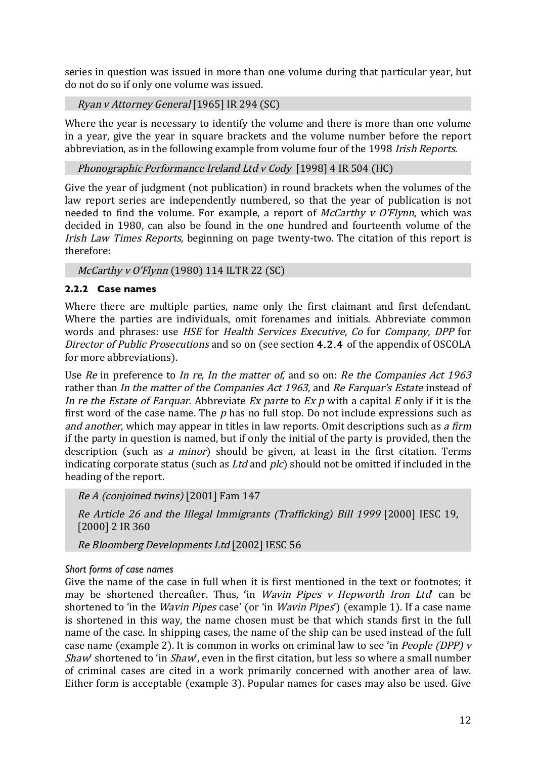series in question was issued in more than one volume during that particular year, but do not do so if only one volume was issued.

Ryan v Attorney General [1965] IR 294 (SC)

Where the year is necessary to identify the volume and there is more than one volume in a year, give the year in square brackets and the volume number before the report abbreviation, as in the following example from volume four of the 1998 Irish Reports.

Phonographic Performance Ireland Ltd v Cody [1998] 4 IR 504 (HC)

Give the year of judgment (not publication) in round brackets when the volumes of the law report series are independently numbered, so that the year of publication is not needed to find the volume. For example, a report of  $McCart$  v  $O'Flvnn$ , which was decided in 1980, can also be found in the one hundred and fourteenth volume of the Irish Law Times Reports, beginning on page twenty-two. The citation of this report is therefore:

McCarthy v O'Flynn (1980) 114 ILTR 22 (SC)

#### **2.2.2 Case names**

Where there are multiple parties, name only the first claimant and first defendant. Where the parties are individuals, omit forenames and initials. Abbreviate common words and phrases: use HSE for Health Services Executive, Co for Company, DPP for Director of Public Prosecutions and so on (see section 4.2.4 of the appendix of OSCOLA for more abbreviations).

Use Re in preference to In re, In the matter of, and so on: Re the Companies Act 1963 rather than In the matter of the Companies Act 1963, and Re Farquar's Estate instead of In re the Estate of Farquar. Abbreviate Ex parte to Ex p with a capital E only if it is the first word of the case name. The  $p$  has no full stop. Do not include expressions such as and another, which may appear in titles in law reports. Omit descriptions such as a firm if the party in question is named, but if only the initial of the party is provided, then the description (such as a minor) should be given, at least in the first citation. Terms indicating corporate status (such as *Ltd* and *plc*) should not be omitted if included in the heading of the report.

Re A (conjoined twins) [2001] Fam 147

Re Article 26 and the Illegal Immigrants (Trafficking) Bill 1999 [2000] IESC 19, [2000] 2 IR 360

Re Bloomberg Developments Ltd [2002] IESC 56

#### *Short forms of case names*

Give the name of the case in full when it is first mentioned in the text or footnotes; it may be shortened thereafter. Thus, 'in *Wavin Pipes v Hepworth Iron Ltd*' can be shortened to 'in the *Wavin Pipes* case' (or 'in *Wavin Pipes*') (example 1). If a case name is shortened in this way, the name chosen must be that which stands first in the full name of the case. In shipping cases, the name of the ship can be used instead of the full case name (example 2). It is common in works on criminal law to see 'in People (DPP) v Shaw' shortened to 'in Shaw', even in the first citation, but less so where a small number of criminal cases are cited in a work primarily concerned with another area of law. Either form is acceptable (example 3). Popular names for cases may also be used. Give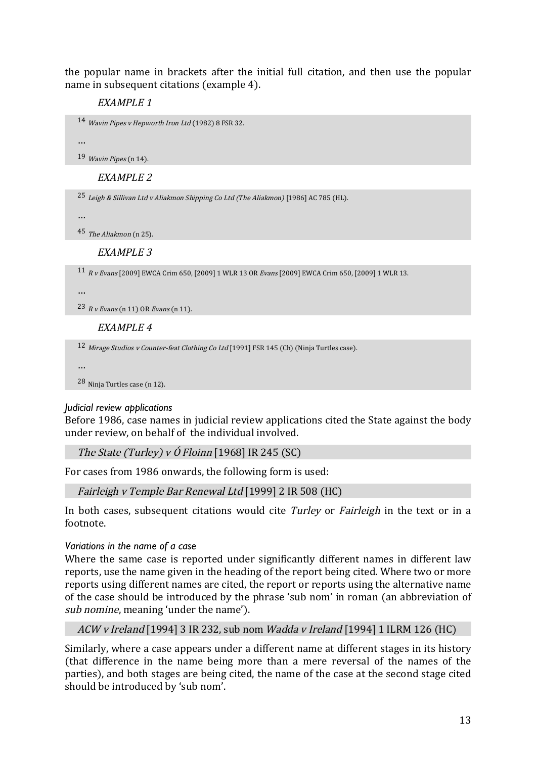the popular name in brackets after the initial full citation, and then use the popular name in subsequent citations (example 4).

EXAMPLE 1

```
14 Wavin Pipes v Hepworth Iron Ltd (1982) 8 FSR 32.
```
…

19 Wavin Pipes (n 14).

EXAMPLE 2

25 Leigh & Sillivan Ltd v Aliakmon Shipping Co Ltd (The Aliakmon) [1986] AC 785 (HL).

…

45 The Aliakmon (n 25).

#### EXAMPLE 3

11 R v Evans [2009] EWCA Crim 650, [2009] 1 WLR 13 OR Evans [2009] EWCA Crim 650, [2009] 1 WLR 13.

…

 $23$  R v Evans (n 11) OR Evans (n 11).

EXAMPLE 4

12 Mirage Studios v Counter-feat Clothing Co Ltd [1991] FSR 145 (Ch) (Ninja Turtles case).

…

28 Ninja Turtles case (n 12).

#### *Judicial review applications*

Before 1986, case names in judicial review applications cited the State against the body under review, on behalf of the individual involved.

The State (Turley) v  $\acute{o}$  Floinn [1968] IR 245 (SC)

For cases from 1986 onwards, the following form is used:

Fairleigh v Temple Bar Renewal Ltd [1999] 2 IR 508 (HC)

In both cases, subsequent citations would cite Turley or Fairleigh in the text or in a footnote.

#### *Variations in the name of a case*

Where the same case is reported under significantly different names in different law reports, use the name given in the heading of the report being cited. Where two or more reports using different names are cited, the report or reports using the alternative name of the case should be introduced by the phrase 'sub nom' in roman (an abbreviation of sub nomine, meaning 'under the name').

ACW v Ireland [1994] 3 IR 232, sub nom Wadda v Ireland [1994] 1 ILRM 126 (HC)

Similarly, where a case appears under a different name at different stages in its history (that difference in the name being more than a mere reversal of the names of the parties), and both stages are being cited, the name of the case at the second stage cited should be introduced by 'sub nom'.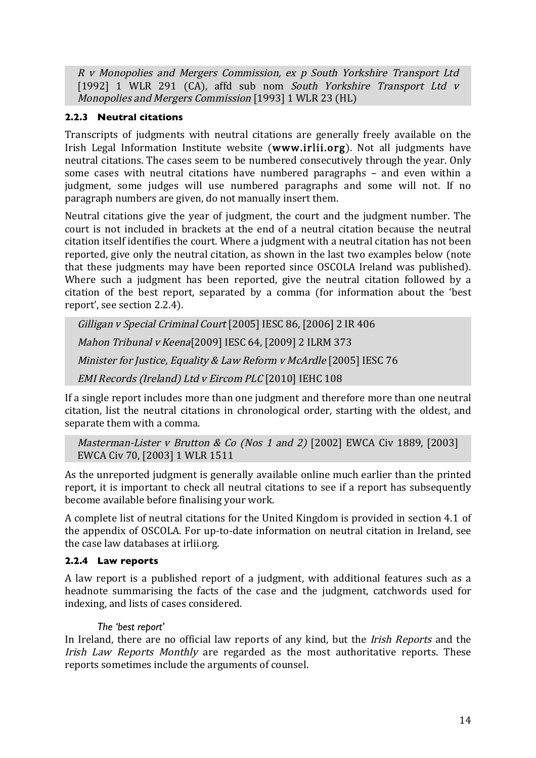R v Monopolies and Mergers Commission, ex p South Yorkshire Transport Ltd [1992] 1 WLR 291 (CA), affd sub nom South Yorkshire Transport Ltd v Monopolies and Mergers Commission [1993] 1 WLR 23 (HL)

#### **2.2.3 Neutral citations**

Transcripts of judgments with neutral citations are generally freely available on the Irish Legal Information Institute website (www.irlii.org). Not all judgments have neutral citations. The cases seem to be numbered consecutively through the year. Only some cases with neutral citations have numbered paragraphs – and even within a judgment, some judges will use numbered paragraphs and some will not. If no paragraph numbers are given, do not manually insert them.

Neutral citations give the year of judgment, the court and the judgment number. The court is not included in brackets at the end of a neutral citation because the neutral citation itself identifies the court. Where a judgment with a neutral citation has not been reported, give only the neutral citation, as shown in the last two examples below (note that these judgments may have been reported since OSCOLA Ireland was published). Where such a judgment has been reported, give the neutral citation followed by a citation of the best report, separated by a comma (for information about the 'best report', see section 2.2.4).

Gilligan v Special Criminal Court [2005] IESC 86, [2006] 2 IR 406 Mahon Tribunal v Keena[2009] IESC 64, [2009] 2 ILRM 373 Minister for Justice, Equality & Law Reform v McArdle [2005] IESC 76 EMI Records (Ireland) Ltd v Eircom PLC [2010] IEHC 108

If a single report includes more than one judgment and therefore more than one neutral citation, list the neutral citations in chronological order, starting with the oldest, and separate them with a comma.

```
Masterman-Lister v Brutton & Co (Nos 1 and 2) [2002] EWCA Civ 1889, [2003]
EWCA Civ 70, [2003] 1 WLR 1511
```
As the unreported judgment is generally available online much earlier than the printed report, it is important to check all neutral citations to see if a report has subsequently become available before finalising your work.

A complete list of neutral citations for the United Kingdom is provided in section 4.1 of the appendix of OSCOLA. For up-to-date information on neutral citation in Ireland, see the case law databases at irlii.org.

#### **2.2.4 Law reports**

A law report is a published report of a judgment, with additional features such as a headnote summarising the facts of the case and the judgment, catchwords used for indexing, and lists of cases considered.

#### *The 'best report'*

In Ireland, there are no official law reports of any kind, but the *Irish Reports* and the Irish Law Reports Monthly are regarded as the most authoritative reports. These reports sometimes include the arguments of counsel.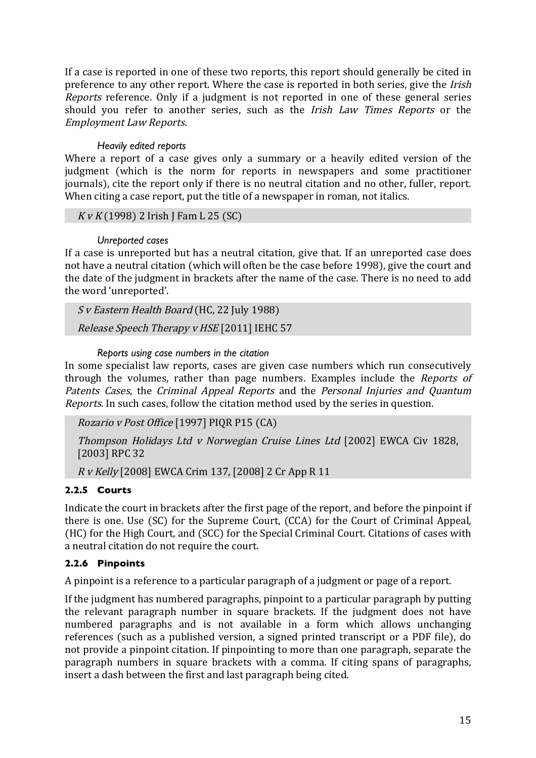If a case is reported in one of these two reports, this report should generally be cited in preference to any other report. Where the case is reported in both series, give the Irish Reports reference. Only if a judgment is not reported in one of these general series should you refer to another series, such as the Irish Law Times Reports or the Employment Law Reports.

#### *Heavily edited reports*

Where a report of a case gives only a summary or a heavily edited version of the judgment (which is the norm for reports in newspapers and some practitioner journals), cite the report only if there is no neutral citation and no other, fuller, report. When citing a case report, put the title of a newspaper in roman, not italics.

 $KvK(1998)$  2 Irish J Fam L 25 (SC)

#### *Unreported cases*

If a case is unreported but has a neutral citation, give that. If an unreported case does not have a neutral citation (which will often be the case before 1998), give the court and the date of the judgment in brackets after the name of the case. There is no need to add the word 'unreported'.

S v Eastern Health Board (HC, 22 July 1988)

Release Speech Therapy v HSE [2011] IEHC 57

#### *Reports using case numbers in the citation*

In some specialist law reports, cases are given case numbers which run consecutively through the volumes, rather than page numbers. Examples include the Reports of Patents Cases, the Criminal Appeal Reports and the Personal Injuries and Quantum Reports. In such cases, follow the citation method used by the series in question.

Rozario v Post Office [1997] PIQR P15 (CA)

Thompson Holidays Ltd v Norwegian Cruise Lines Ltd [2002] EWCA Civ 1828, [2003] RPC 32

R v Kelly [2008] EWCA Crim 137, [2008] 2 Cr App R 11

# **2.2.5 Courts**

Indicate the court in brackets after the first page of the report, and before the pinpoint if there is one. Use (SC) for the Supreme Court, (CCA) for the Court of Criminal Appeal, (HC) for the High Court, and (SCC) for the Special Criminal Court. Citations of cases with a neutral citation do not require the court.

# **2.2.6 Pinpoints**

A pinpoint is a reference to a particular paragraph of a judgment or page of a report.

If the judgment has numbered paragraphs, pinpoint to a particular paragraph by putting the relevant paragraph number in square brackets. If the judgment does not have numbered paragraphs and is not available in a form which allows unchanging references (such as a published version, a signed printed transcript or a PDF file), do not provide a pinpoint citation. If pinpointing to more than one paragraph, separate the paragraph numbers in square brackets with a comma. If citing spans of paragraphs, insert a dash between the first and last paragraph being cited.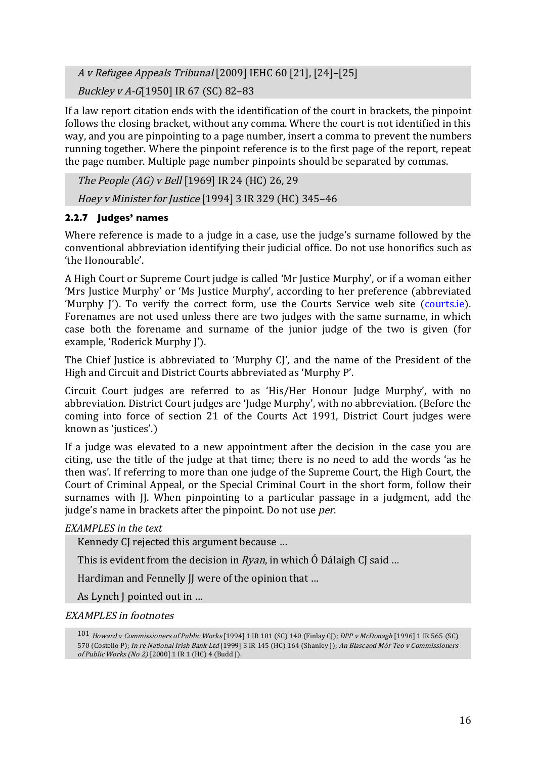<sup>A</sup> <sup>v</sup> Refugee Appeals Tribunal [2009] IEHC 60 [21], [24]–[25]

Buckley v A-G[1950] IR 67 (SC) 82–83

If a law report citation ends with the identification of the court in brackets, the pinpoint follows the closing bracket, without any comma. Where the court is not identified in this way, and you are pinpointing to a page number, insert a comma to prevent the numbers running together. Where the pinpoint reference is to the first page of the report, repeat the page number. Multiple page number pinpoints should be separated by commas.

The People (AG) v Bell [1969] IR 24 (HC) 26, 29 Hoey v Minister for Justice [1994] 3 IR 329 (HC) 345–46

# **2.2.7 Judges' names**

Where reference is made to a judge in a case, use the judge's surname followed by the conventional abbreviation identifying their judicial office. Do not use honorifics such as 'the Honourable'.

A High Court or Supreme Court judge is called 'Mr Justice Murphy', or if a woman either 'Mrs Justice Murphy' or 'Ms Justice Murphy', according to her preference (abbreviated 'Murphy I'). To verify the correct form, use the Courts Service web site (courts.ie). Forenames are not used unless there are two judges with the same surname, in which case both the forename and surname of the junior judge of the two is given (for example, 'Roderick Murphy J').

The Chief Justice is abbreviated to 'Murphy CJ', and the name of the President of the High and Circuit and District Courts abbreviated as 'Murphy P'.

Circuit Court judges are referred to as 'His/Her Honour Judge Murphy', with no abbreviation. District Court judges are 'Judge Murphy', with no abbreviation. (Before the coming into force of section 21 of the Courts Act 1991, District Court judges were known as 'justices'.)

If a judge was elevated to a new appointment after the decision in the case you are citing, use the title of the judge at that time; there is no need to add the words 'as he then was'. If referring to more than one judge of the Supreme Court, the High Court, the Court of Criminal Appeal, or the Special Criminal Court in the short form, follow their surnames with J. When pinpointing to a particular passage in a judgment, add the judge's name in brackets after the pinpoint. Do not use *per*.

# *EXAMPLES in the text*

Kennedy CJ rejected this argument because …

This is evident from the decision in  $Rvan$ , in which  $\acute{o}$  Dálaigh CJ said ...

Hardiman and Fennelly II were of the opinion that ...

As Lynch J pointed out in …

EXAMPLES in footnotes

<sup>101</sup> Howard v Commissioners of Public Works [1994] 1 IR 101 (SC) 140 (Finlay CJ); DPP v McDonagh [1996] 1 IR 565 (SC) 570 (Costello P); In re National Irish Bank Ltd [1999] 3 IR 145 (HC) 164 (Shanley J); An Blascaod Mór Teo v Commissioners of Public Works (No 2) [2000] 1 IR 1 (HC) 4 (Budd J).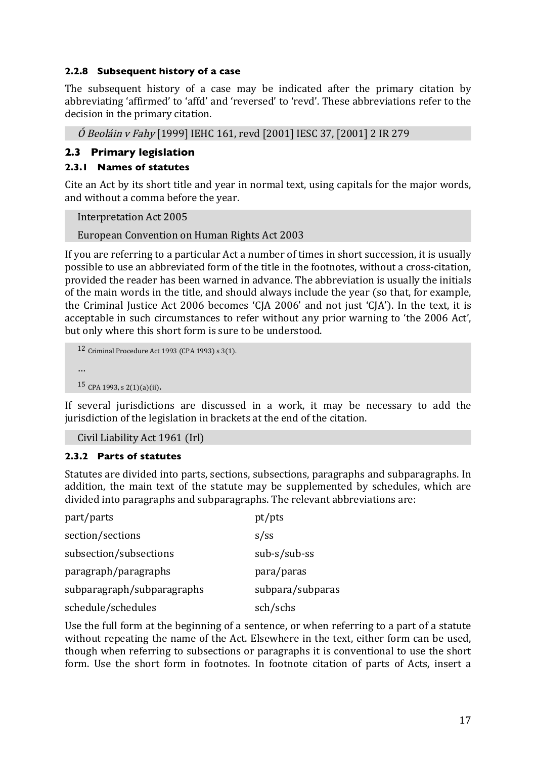#### **2.2.8 Subsequent history of a case**

The subsequent history of a case may be indicated after the primary citation by abbreviating 'affirmed' to 'affd' and 'reversed' to 'revd'. These abbreviations refer to the decision in the primary citation.

Ó Beoláin v Fahy [1999] IEHC 161, revd [2001] IESC 37, [2001] 2 IR 279

#### **2.3 Primary legislation**

#### **2.3.1 Names of statutes**

Cite an Act by its short title and year in normal text, using capitals for the major words, and without a comma before the year.

Interpretation Act 2005

European Convention on Human Rights Act 2003

If you are referring to a particular Act a number of times in short succession, it is usually possible to use an abbreviated form of the title in the footnotes, without a cross-citation, provided the reader has been warned in advance. The abbreviation is usually the initials of the main words in the title, and should always include the year (so that, for example, the Criminal Justice Act 2006 becomes 'CJA 2006' and not just 'CJA'). In the text, it is acceptable in such circumstances to refer without any prior warning to 'the 2006 Act', but only where this short form is sure to be understood.

```
12 Criminal Procedure Act 1993 (CPA 1993) s 3(1).
…
15 CPA 1993, s 2(1)(a)(ii).
```
If several jurisdictions are discussed in a work, it may be necessary to add the jurisdiction of the legislation in brackets at the end of the citation.

Civil Liability Act 1961 (Irl)

#### **2.3.2 Parts of statutes**

Statutes are divided into parts, sections, subsections, paragraphs and subparagraphs. In addition, the main text of the statute may be supplemented by schedules, which are divided into paragraphs and subparagraphs. The relevant abbreviations are:

| part/parts                 | pt/pts           |
|----------------------------|------------------|
| section/sections           | $s$ /ss          |
| subsection/subsections     | $sub-s/sub-ss$   |
| paragraph/paragraphs       | para/paras       |
| subparagraph/subparagraphs | subpara/subparas |
| schedule/schedules         | sch/schs         |

Use the full form at the beginning of a sentence, or when referring to a part of a statute without repeating the name of the Act. Elsewhere in the text, either form can be used, though when referring to subsections or paragraphs it is conventional to use the short form. Use the short form in footnotes. In footnote citation of parts of Acts, insert a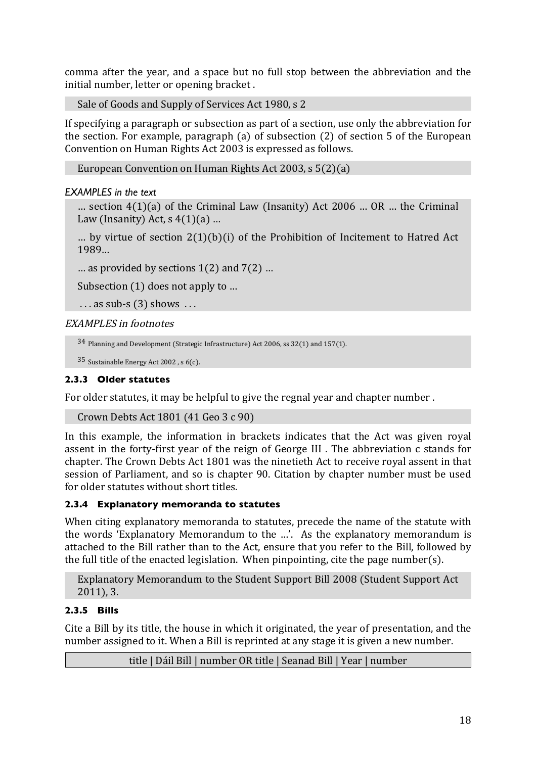comma after the year, and a space but no full stop between the abbreviation and the initial number, letter or opening bracket .

Sale of Goods and Supply of Services Act 1980, s 2

If specifying a paragraph or subsection as part of a section, use only the abbreviation for the section. For example, paragraph (a) of subsection (2) of section 5 of the European Convention on Human Rights Act 2003 is expressed as follows.

European Convention on Human Rights Act 2003, s 5(2)(a)

#### *EXAMPLES in the text*

... section  $4(1)(a)$  of the Criminal Law (Insanity) Act 2006 ... OR ... the Criminal Law (Insanity) Act,  $s(4(1)(a)$  ...

... by virtue of section  $2(1)(b)(i)$  of the Prohibition of Incitement to Hatred Act 1989…

… as provided by sections 1(2) and 7(2) …

Subsection (1) does not apply to …

```
\ldots as sub-s (3) shows \ldots
```
EXAMPLES in footnotes

```
34 Planning and Development (Strategic Infrastructure) Act 2006, ss 32(1) and 157(1).
```

```
35 Sustainable Energy Act 2002 , s 6(c).
```
## **2.3.3 Older statutes**

For older statutes, it may be helpful to give the regnal year and chapter number .

```
Crown Debts Act 1801 (41 Geo 3 c 90)
```
In this example, the information in brackets indicates that the Act was given royal assent in the forty-first year of the reign of George III . The abbreviation c stands for chapter. The Crown Debts Act 1801 was the ninetieth Act to receive royal assent in that session of Parliament, and so is chapter 90. Citation by chapter number must be used for older statutes without short titles.

# **2.3.4 Explanatory memoranda to statutes**

When citing explanatory memoranda to statutes, precede the name of the statute with the words 'Explanatory Memorandum to the …'. As the explanatory memorandum is attached to the Bill rather than to the Act, ensure that you refer to the Bill, followed by the full title of the enacted legislation. When pinpointing, cite the page number(s).

Explanatory Memorandum to the Student Support Bill 2008 (Student Support Act 2011), 3.

# **2.3.5 Bills**

Cite a Bill by its title, the house in which it originated, the year of presentation, and the number assigned to it. When a Bill is reprinted at any stage it is given a new number.

title | Dáil Bill | number OR title | Seanad Bill | Year | number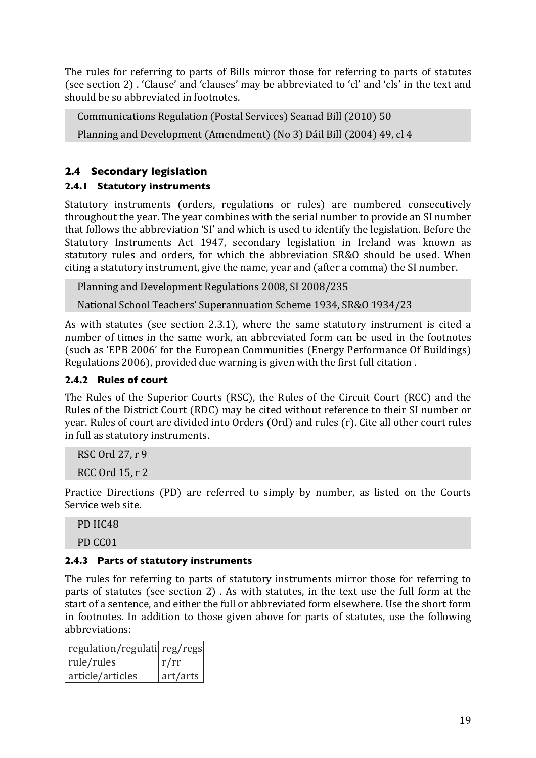The rules for referring to parts of Bills mirror those for referring to parts of statutes (see section 2) . 'Clause' and 'clauses' may be abbreviated to 'cl' and 'cls' in the text and should be so abbreviated in footnotes.

```
Communications Regulation (Postal Services) Seanad Bill (2010) 50
```
Planning and Development (Amendment) (No 3) Dáil Bill (2004) 49, cl 4

# **2.4 Secondary legislation**

# **2.4.1 Statutory instruments**

Statutory instruments (orders, regulations or rules) are numbered consecutively throughout the year. The year combines with the serial number to provide an SI number that follows the abbreviation 'SI' and which is used to identify the legislation. Before the Statutory Instruments Act 1947, secondary legislation in Ireland was known as statutory rules and orders, for which the abbreviation SR&O should be used. When citing a statutory instrument, give the name, year and (after a comma) the SI number.

Planning and Development Regulations 2008, SI 2008/235

National School Teachers' Superannuation Scheme 1934, SR&O 1934/23

As with statutes (see section 2.3.1), where the same statutory instrument is cited a number of times in the same work, an abbreviated form can be used in the footnotes (such as 'EPB 2006' for the European Communities (Energy Performance Of Buildings) Regulations 2006), provided due warning is given with the first full citation .

## **2.4.2 Rules of court**

The Rules of the Superior Courts (RSC), the Rules of the Circuit Court (RCC) and the Rules of the District Court (RDC) may be cited without reference to their SI number or year. Rules of court are divided into Orders (Ord) and rules (r). Cite all other court rules in full as statutory instruments.

RSC Ord 27, r 9 RCC Ord 15, r 2

Practice Directions (PD) are referred to simply by number, as listed on the Courts Service web site.

PD HC48

PD CC01

# **2.4.3 Parts of statutory instruments**

The rules for referring to parts of statutory instruments mirror those for referring to parts of statutes (see section 2) . As with statutes, in the text use the full form at the start of a sentence, and either the full or abbreviated form elsewhere. Use the short form in footnotes. In addition to those given above for parts of statutes, use the following abbreviations:

| regulation/regulati  reg/regs |          |
|-------------------------------|----------|
| rule/rules                    | r/rr     |
| article/articles              | art/arts |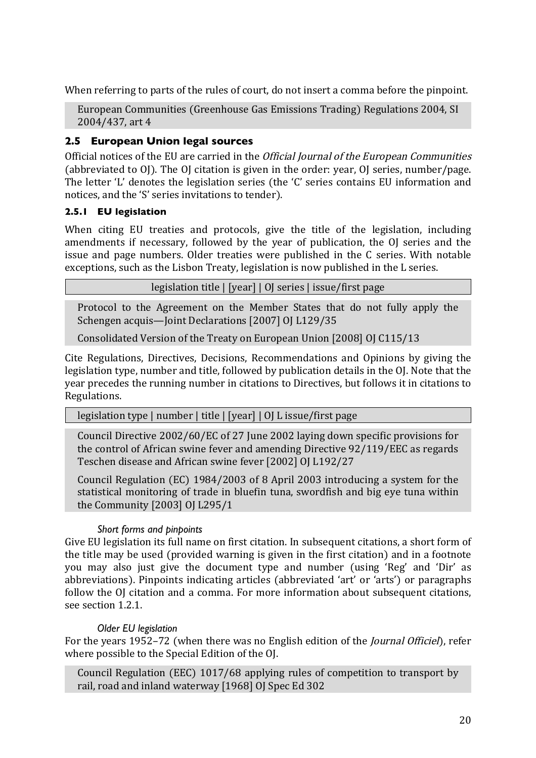When referring to parts of the rules of court, do not insert a comma before the pinpoint.

European Communities (Greenhouse Gas Emissions Trading) Regulations 2004, SI 2004/437, art 4

## **2.5 European Union legal sources**

Official notices of the EU are carried in the Official Journal of the European Communities (abbreviated to OJ). The OJ citation is given in the order: year, OJ series, number/page. The letter 'L' denotes the legislation series (the 'C' series contains EU information and notices, and the 'S' series invitations to tender).

#### **2.5.1 EU legislation**

When citing EU treaties and protocols, give the title of the legislation, including amendments if necessary, followed by the year of publication, the OJ series and the issue and page numbers. Older treaties were published in the C series. With notable exceptions, such as the Lisbon Treaty, legislation is now published in the L series.

legislation title | [year] | OJ series | issue/first page

Protocol to the Agreement on the Member States that do not fully apply the Schengen acquis—Joint Declarations [2007] OJ L129/35

Consolidated Version of the Treaty on European Union [2008] OJ C115/13

Cite Regulations, Directives, Decisions, Recommendations and Opinions by giving the legislation type, number and title, followed by publication details in the OJ. Note that the year precedes the running number in citations to Directives, but follows it in citations to Regulations.

legislation type | number | title | [year] | OJ L issue/first page

Council Directive 2002/60/EC of 27 June 2002 laying down specific provisions for the control of African swine fever and amending Directive 92/119/EEC as regards Teschen disease and African swine fever [2002] OJ L192/27

Council Regulation (EC) 1984/2003 of 8 April 2003 introducing a system for the statistical monitoring of trade in bluefin tuna, swordfish and big eye tuna within the Community [2003] OJ L295/1

#### *Short forms and pinpoints*

Give EU legislation its full name on first citation. In subsequent citations, a short form of the title may be used (provided warning is given in the first citation) and in a footnote you may also just give the document type and number (using 'Reg' and 'Dir' as abbreviations). Pinpoints indicating articles (abbreviated 'art' or 'arts') or paragraphs follow the OJ citation and a comma. For more information about subsequent citations, see section 1.2.1.

#### *Older EU legislation*

For the years 1952–72 (when there was no English edition of the Journal Officiel), refer where possible to the Special Edition of the OJ.

Council Regulation (EEC) 1017/68 applying rules of competition to transport by rail, road and inland waterway [1968] OJ Spec Ed 302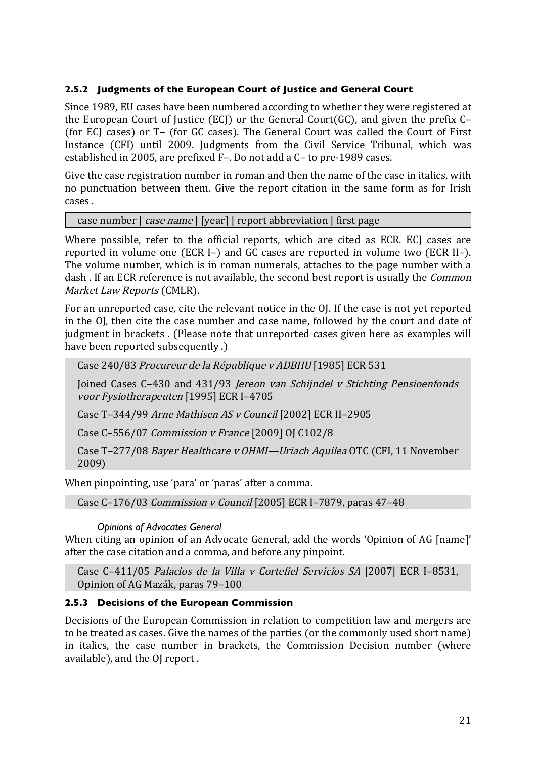#### **2.5.2 Judgments of the European Court of Justice and General Court**

Since 1989, EU cases have been numbered according to whether they were registered at the European Court of Justice (ECJ) or the General Court(GC), and given the prefix C– (for ECJ cases) or T– (for GC cases). The General Court was called the Court of First Instance (CFI) until 2009. Judgments from the Civil Service Tribunal, which was established in 2005, are prefixed F–. Do not add a C– to pre-1989 cases.

Give the case registration number in roman and then the name of the case in italics, with no punctuation between them. Give the report citation in the same form as for Irish cases .

case number | case name | [year] | report abbreviation | first page

Where possible, refer to the official reports, which are cited as ECR. ECJ cases are reported in volume one (ECR I–) and GC cases are reported in volume two (ECR II–). The volume number, which is in roman numerals, attaches to the page number with a dash. If an ECR reference is not available, the second best report is usually the *Common* Market Law Reports (CMLR).

For an unreported case, cite the relevant notice in the OJ. If the case is not yet reported in the OJ, then cite the case number and case name, followed by the court and date of judgment in brackets . (Please note that unreported cases given here as examples will have been reported subsequently .)

Case 240/83 Procureur de la République v ADBHU [1985] ECR 531

Joined Cases C–430 and 431/93 Jereon van Schijndel v Stichting Pensioenfonds voor Fysiotherapeuten [1995] ECR I–4705

Case T–344/99 Arne Mathisen AS v Council [2002] ECR II–2905

Case C–556/07 Commission v France [2009] OJ C102/8

Case T–277/08 Bayer Healthcare v OHMI—Uriach Aquilea OTC (CFI, 11 November 2009)

When pinpointing, use 'para' or 'paras' after a comma.

Case C–176/03 Commission v Council [2005] ECR I–7879, paras 47–48

*Opinions of Advocates General*

When citing an opinion of an Advocate General, add the words 'Opinion of AG [name]' after the case citation and a comma, and before any pinpoint.

Case C–411/05 Palacios de la Villa v Cortefiel Servicios SA [2007] ECR I–8531, Opinion of AG Mazák, paras 79–100

#### **2.5.3 Decisions of the European Commission**

Decisions of the European Commission in relation to competition law and mergers are to be treated as cases. Give the names of the parties (or the commonly used short name) in italics, the case number in brackets, the Commission Decision number (where available), and the OJ report .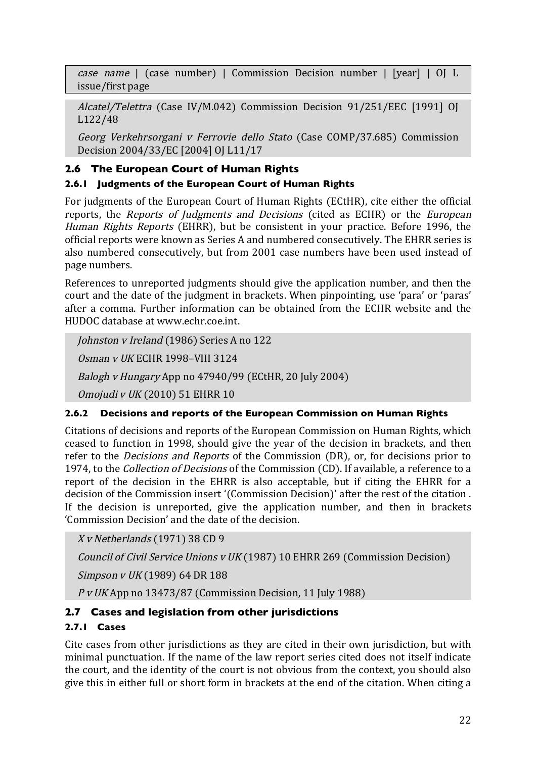case name | (case number) | Commission Decision number | [year] | OJ L issue/first page

Alcatel/Telettra (Case IV/M.042) Commission Decision 91/251/EEC [1991] OJ L122/48

Georg Verkehrsorgani v Ferrovie dello Stato (Case COMP/37.685) Commission Decision 2004/33/EC [2004] OJ L11/17

# **2.6 The European Court of Human Rights**

# **2.6.1 Judgments of the European Court of Human Rights**

For judgments of the European Court of Human Rights (ECtHR), cite either the official reports, the Reports of Judgments and Decisions (cited as ECHR) or the European Human Rights Reports (EHRR), but be consistent in your practice. Before 1996, the official reports were known as Series A and numbered consecutively. The EHRR series is also numbered consecutively, but from 2001 case numbers have been used instead of page numbers.

References to unreported judgments should give the application number, and then the court and the date of the judgment in brackets. When pinpointing, use 'para' or 'paras' after a comma. Further information can be obtained from the ECHR website and the HUDOC database at www.echr.coe.int.

Johnston v Ireland (1986) Series A no 122

Osman v UK ECHR 1998–VIII 3124

Balogh v Hungary App no 47940/99 (ECtHR, 20 July 2004)

Omojudi v UK (2010) 51 EHRR 10

# **2.6.2 Decisions and reports of the European Commission on Human Rights**

Citations of decisions and reports of the European Commission on Human Rights, which ceased to function in 1998, should give the year of the decision in brackets, and then refer to the Decisions and Reports of the Commission (DR), or, for decisions prior to 1974, to the *Collection of Decisions* of the Commission (CD). If available, a reference to a report of the decision in the EHRR is also acceptable, but if citing the EHRR for a decision of the Commission insert '(Commission Decision)' after the rest of the citation . If the decision is unreported, give the application number, and then in brackets 'Commission Decision' and the date of the decision.

X v Netherlands (1971) 38 CD 9

Council of Civil Service Unions v UK (1987) 10 EHRR 269 (Commission Decision)

Simpson v UK (1989) 64 DR 188

P v UK App no 13473/87 (Commission Decision, 11 July 1988)

# **2.7 Cases and legislation from other jurisdictions**

# **2.7.1 Cases**

Cite cases from other jurisdictions as they are cited in their own jurisdiction, but with minimal punctuation. If the name of the law report series cited does not itself indicate the court, and the identity of the court is not obvious from the context, you should also give this in either full or short form in brackets at the end of the citation. When citing a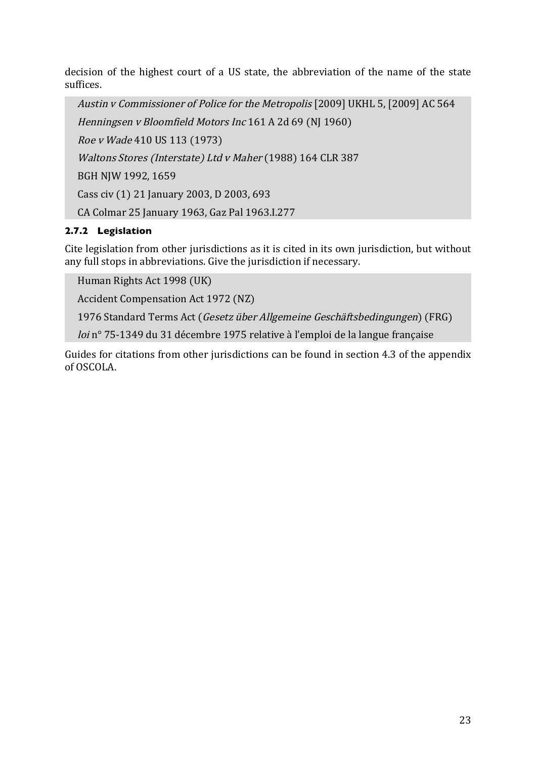decision of the highest court of a US state, the abbreviation of the name of the state suffices.

Austin v Commissioner of Police for the Metropolis [2009] UKHL 5, [2009] AC 564 Henningsen v Bloomfield Motors Inc 161 A 2d 69 (NJ 1960) Roe v Wade 410 US 113 (1973) Waltons Stores (Interstate) Ltd v Maher (1988) 164 CLR 387 BGH NJW 1992, 1659 Cass civ (1) 21 January 2003, D 2003, 693 CA Colmar 25 January 1963, Gaz Pal 1963.I.277

# **2.7.2 Legislation**

Cite legislation from other jurisdictions as it is cited in its own jurisdiction, but without any full stops in abbreviations. Give the jurisdiction if necessary.

Human Rights Act 1998 (UK)

Accident Compensation Act 1972 (NZ)

1976 Standard Terms Act (Gesetz über Allgemeine Geschäftsbedingungen) (FRG)

loi n° 75-1349 du 31 décembre 1975 relative à l'emploi de la langue française

Guides for citations from other jurisdictions can be found in section 4.3 of the appendix of OSCOLA.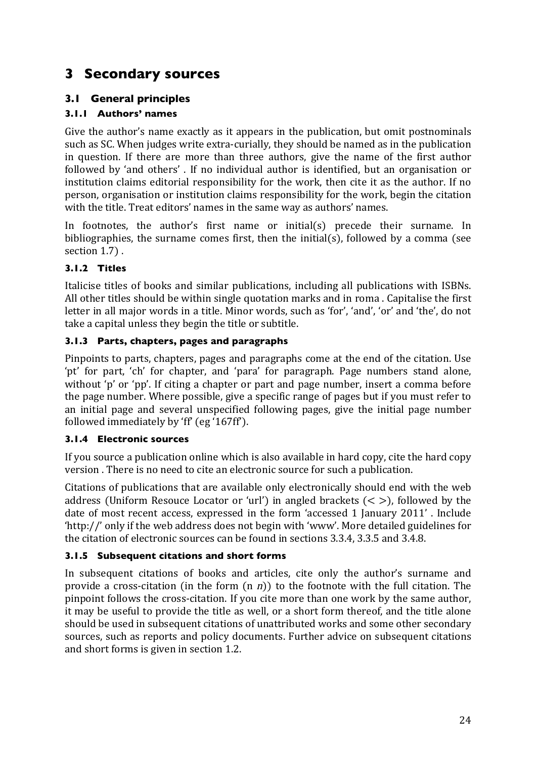# **3 Secondary sources**

# **3.1 General principles**

# **3.1.1 Authors' names**

Give the author's name exactly as it appears in the publication, but omit postnominals such as SC. When judges write extra-curially, they should be named as in the publication in question. If there are more than three authors, give the name of the first author followed by 'and others' . If no individual author is identified, but an organisation or institution claims editorial responsibility for the work, then cite it as the author. If no person, organisation or institution claims responsibility for the work, begin the citation with the title. Treat editors' names in the same way as authors' names.

In footnotes, the author's first name or initial(s) precede their surname. In bibliographies, the surname comes first, then the initial(s), followed by a comma (see section 1.7) .

# **3.1.2 Titles**

Italicise titles of books and similar publications, including all publications with ISBNs. All other titles should be within single quotation marks and in roma . Capitalise the first letter in all major words in a title. Minor words, such as 'for', 'and', 'or' and 'the', do not take a capital unless they begin the title or subtitle.

#### **3.1.3 Parts, chapters, pages and paragraphs**

Pinpoints to parts, chapters, pages and paragraphs come at the end of the citation. Use 'pt' for part, 'ch' for chapter, and 'para' for paragraph. Page numbers stand alone, without 'p' or 'pp'. If citing a chapter or part and page number, insert a comma before the page number. Where possible, give a specific range of pages but if you must refer to an initial page and several unspecified following pages, give the initial page number followed immediately by 'ff' (eg '167ff').

# **3.1.4 Electronic sources**

If you source a publication online which is also available in hard copy, cite the hard copy version . There is no need to cite an electronic source for such a publication.

Citations of publications that are available only electronically should end with the web address (Uniform Resouce Locator or 'url') in angled brackets  $(<)$ , followed by the date of most recent access, expressed in the form 'accessed 1 January 2011' . Include 'http://' only if the web address does not begin with 'www'. More detailed guidelines for the citation of electronic sources can be found in sections 3.3.4, 3.3.5 and 3.4.8.

# **3.1.5 Subsequent citations and short forms**

In subsequent citations of books and articles, cite only the author's surname and provide a cross-citation (in the form  $(n, n)$ ) to the footnote with the full citation. The pinpoint follows the cross-citation. If you cite more than one work by the same author, it may be useful to provide the title as well, or a short form thereof, and the title alone should be used in subsequent citations of unattributed works and some other secondary sources, such as reports and policy documents. Further advice on subsequent citations and short forms is given in section 1.2.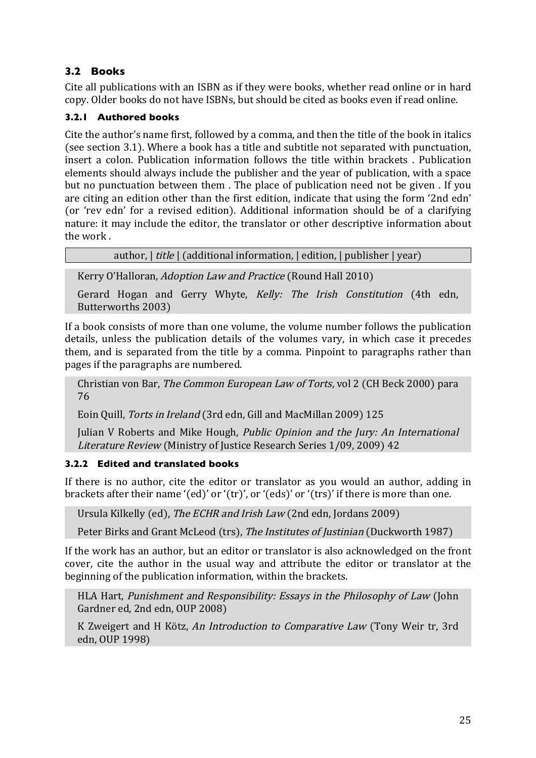# **3.2 Books**

Cite all publications with an ISBN as if they were books, whether read online or in hard copy. Older books do not have ISBNs, but should be cited as books even if read online.

# **3.2.1 Authored books**

Cite the author's name first, followed by a comma, and then the title of the book in italics (see section 3.1). Where a book has a title and subtitle not separated with punctuation, insert a colon. Publication information follows the title within brackets . Publication elements should always include the publisher and the year of publication, with a space but no punctuation between them . The place of publication need not be given . If you are citing an edition other than the first edition, indicate that using the form '2nd edn' (or 'rev edn' for a revised edition). Additional information should be of a clarifying nature: it may include the editor, the translator or other descriptive information about the work .

author, | title | (additional information, | edition, | publisher | year)

Kerry O'Halloran, Adoption Law and Practice (Round Hall 2010)

Gerard Hogan and Gerry Whyte, Kelly: The Irish Constitution (4th edn, Butterworths 2003)

If a book consists of more than one volume, the volume number follows the publication details, unless the publication details of the volumes vary, in which case it precedes them, and is separated from the title by a comma. Pinpoint to paragraphs rather than pages if the paragraphs are numbered.

Christian von Bar, The Common European Law of Torts, vol 2 (CH Beck 2000) para 76

Eoin Quill, Torts in Ireland (3rd edn, Gill and MacMillan 2009) 125

Julian V Roberts and Mike Hough, Public Opinion and the Jury: An International Literature Review (Ministry of Justice Research Series 1/09, 2009) 42

# **3.2.2 Edited and translated books**

If there is no author, cite the editor or translator as you would an author, adding in brackets after their name '(ed)' or '(tr)', or '(eds)' or '(trs)' if there is more than one.

Ursula Kilkelly (ed), The ECHR and Irish Law (2nd edn, Jordans 2009)

Peter Birks and Grant McLeod (trs), The Institutes of Justinian (Duckworth 1987)

If the work has an author, but an editor or translator is also acknowledged on the front cover, cite the author in the usual way and attribute the editor or translator at the beginning of the publication information, within the brackets.

HLA Hart, Punishment and Responsibility: Essays in the Philosophy of Law (John Gardner ed, 2nd edn, OUP 2008)

K Zweigert and H Kötz, An Introduction to Comparative Law (Tony Weir tr, 3rd edn, OUP 1998)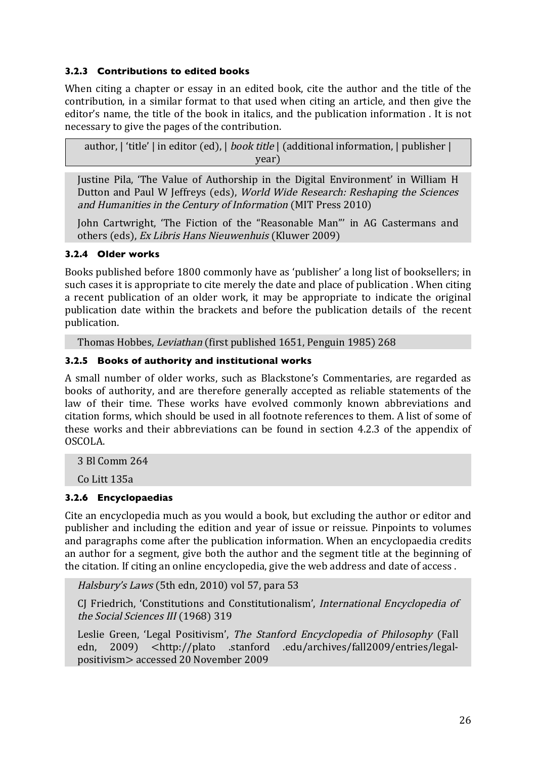#### **3.2.3 Contributions to edited books**

When citing a chapter or essay in an edited book, cite the author and the title of the contribution, in a similar format to that used when citing an article, and then give the editor's name, the title of the book in italics, and the publication information . It is not necessary to give the pages of the contribution.

author,  $\vert$  'title'  $\vert$  in editor (ed),  $\vert$  *book title*  $\vert$  (additional information,  $\vert$  publisher  $\vert$ year)

Justine Pila, 'The Value of Authorship in the Digital Environment' in William H Dutton and Paul W Jeffreys (eds), World Wide Research: Reshaping the Sciences and Humanities in the Century of Information (MIT Press 2010)

John Cartwright, 'The Fiction of the "Reasonable Man"' in AG Castermans and others (eds), Ex Libris Hans Nieuwenhuis (Kluwer 2009)

#### **3.2.4 Older works**

Books published before 1800 commonly have as 'publisher' a long list of booksellers; in such cases it is appropriate to cite merely the date and place of publication . When citing a recent publication of an older work, it may be appropriate to indicate the original publication date within the brackets and before the publication details of the recent publication.

Thomas Hobbes, Leviathan (first published 1651, Penguin 1985) 268

#### **3.2.5 Books of authority and institutional works**

A small number of older works, such as Blackstone's Commentaries, are regarded as books of authority, and are therefore generally accepted as reliable statements of the law of their time. These works have evolved commonly known abbreviations and citation forms, which should be used in all footnote references to them. A list of some of these works and their abbreviations can be found in section 4.2.3 of the appendix of OSCOLA.

3 Bl Comm 264

Co Litt 135a

#### **3.2.6 Encyclopaedias**

Cite an encyclopedia much as you would a book, but excluding the author or editor and publisher and including the edition and year of issue or reissue. Pinpoints to volumes and paragraphs come after the publication information. When an encyclopaedia credits an author for a segment, give both the author and the segment title at the beginning of the citation. If citing an online encyclopedia, give the web address and date of access .

Halsbury's Laws (5th edn, 2010) vol 57, para 53

CJ Friedrich, 'Constitutions and Constitutionalism', International Encyclopedia of the Social Sciences III (1968) 319

Leslie Green, 'Legal Positivism', The Stanford Encyclopedia of Philosophy (Fall edn, 2009) <http://plato .stanford .edu/archives/fall2009/entries/legalpositivism> accessed 20 November 2009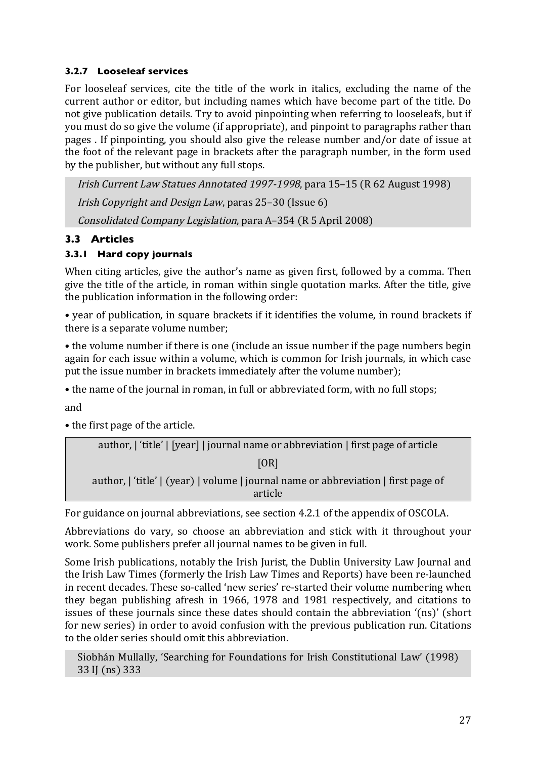## **3.2.7 Looseleaf services**

For looseleaf services, cite the title of the work in italics, excluding the name of the current author or editor, but including names which have become part of the title. Do not give publication details. Try to avoid pinpointing when referring to looseleafs, but if you must do so give the volume (if appropriate), and pinpoint to paragraphs rather than pages . If pinpointing, you should also give the release number and/or date of issue at the foot of the relevant page in brackets after the paragraph number, in the form used by the publisher, but without any full stops.

Irish Current Law Statues Annotated 1997-1998, para 15–15 (R 62 August 1998) Irish Copyright and Design Law, paras 25–30 (Issue 6) Consolidated Company Legislation, para A–354 (R 5 April 2008)

# **3.3 Articles**

# **3.3.1 Hard copy journals**

When citing articles, give the author's name as given first, followed by a comma. Then give the title of the article, in roman within single quotation marks. After the title, give the publication information in the following order:

• year of publication, in square brackets if it identifies the volume, in round brackets if there is a separate volume number;

• the volume number if there is one (include an issue number if the page numbers begin again for each issue within a volume, which is common for Irish journals, in which case put the issue number in brackets immediately after the volume number);

• the name of the journal in roman, in full or abbreviated form, with no full stops;

and

• the first page of the article.

| author,   'title'   [year]   journal name or abbreviation   first page of article  |
|------------------------------------------------------------------------------------|
| [OR]                                                                               |
| author,   'title'   (year)   volume   journal name or abbreviation   first page of |
| article                                                                            |

For guidance on journal abbreviations, see section 4.2.1 of the appendix of OSCOLA.

Abbreviations do vary, so choose an abbreviation and stick with it throughout your work. Some publishers prefer all journal names to be given in full.

Some Irish publications, notably the Irish Jurist, the Dublin University Law Journal and the Irish Law Times (formerly the Irish Law Times and Reports) have been re-launched in recent decades. These so-called 'new series' re-started their volume numbering when they began publishing afresh in 1966, 1978 and 1981 respectively, and citations to issues of these journals since these dates should contain the abbreviation '(ns)' (short for new series) in order to avoid confusion with the previous publication run. Citations to the older series should omit this abbreviation.

Siobhán Mullally, 'Searching for Foundations for Irish Constitutional Law' (1998) 33 IJ (ns) 333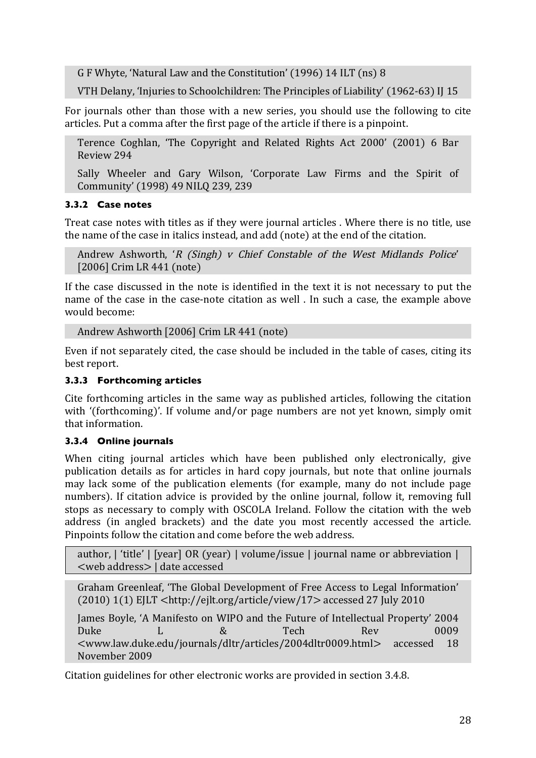G F Whyte, 'Natural Law and the Constitution' (1996) 14 ILT (ns) 8

VTH Delany, 'Injuries to Schoolchildren: The Principles of Liability' (1962-63) IJ 15

For journals other than those with a new series, you should use the following to cite articles. Put a comma after the first page of the article if there is a pinpoint.

Terence Coghlan, 'The Copyright and Related Rights Act 2000' (2001) 6 Bar Review 294

Sally Wheeler and Gary Wilson, 'Corporate Law Firms and the Spirit of Community' (1998) 49 NILQ 239, 239

#### **3.3.2 Case notes**

Treat case notes with titles as if they were journal articles . Where there is no title, use the name of the case in italics instead, and add (note) at the end of the citation.

Andrew Ashworth, '<sup>R</sup> (Singh) v Chief Constable of the West Midlands Police' [2006] Crim LR 441 (note)

If the case discussed in the note is identified in the text it is not necessary to put the name of the case in the case-note citation as well . In such a case, the example above would become:

```
Andrew Ashworth [2006] Crim LR 441 (note)
```
Even if not separately cited, the case should be included in the table of cases, citing its best report.

# **3.3.3 Forthcoming articles**

Cite forthcoming articles in the same way as published articles, following the citation with '(forthcoming)'. If volume and/or page numbers are not yet known, simply omit that information.

# **3.3.4 Online journals**

When citing journal articles which have been published only electronically, give publication details as for articles in hard copy journals, but note that online journals may lack some of the publication elements (for example, many do not include page numbers). If citation advice is provided by the online journal, follow it, removing full stops as necessary to comply with OSCOLA Ireland. Follow the citation with the web address (in angled brackets) and the date you most recently accessed the article. Pinpoints follow the citation and come before the web address.

author, | 'title' | [year] OR (year) | volume/issue | journal name or abbreviation | <web address> | date accessed

Graham Greenleaf, 'The Global Development of Free Access to Legal Information' (2010) 1(1) EJLT <http://ejlt.org/article/view/17> accessed 27 July 2010

James Boyle, 'A Manifesto on WIPO and the Future of Intellectual Property' 2004 Duke L & Tech Rev 0009 <www.law.duke.edu/journals/dltr/articles/2004dltr0009.html> accessed 18 November 2009

Citation guidelines for other electronic works are provided in section 3.4.8.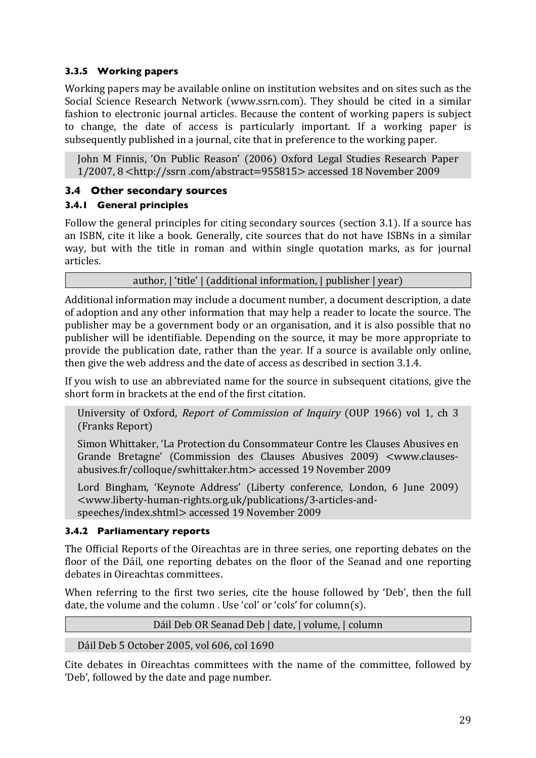# **3.3.5 Working papers**

Working papers may be available online on institution websites and on sites such as the Social Science Research Network (www.ssrn.com). They should be cited in a similar fashion to electronic journal articles. Because the content of working papers is subject to change, the date of access is particularly important. If a working paper is subsequently published in a journal, cite that in preference to the working paper.

John M Finnis, 'On Public Reason' (2006) Oxford Legal Studies Research Paper 1/2007, 8 <http://ssrn .com/abstract=955815> accessed 18 November 2009

# **3.4 Other secondary sources**

# **3.4.1 General principles**

Follow the general principles for citing secondary sources (section 3.1). If a source has an ISBN, cite it like a book. Generally, cite sources that do not have ISBNs in a similar way, but with the title in roman and within single quotation marks, as for journal articles.

author, | 'title' | (additional information, | publisher | year)

Additional information may include a document number, a document description, a date of adoption and any other information that may help a reader to locate the source. The publisher may be a government body or an organisation, and it is also possible that no publisher will be identifiable. Depending on the source, it may be more appropriate to provide the publication date, rather than the year. If a source is available only online, then give the web address and the date of access as described in section 3.1.4.

If you wish to use an abbreviated name for the source in subsequent citations, give the short form in brackets at the end of the first citation.

University of Oxford, Report of Commission of Inquiry (OUP 1966) vol 1, ch 3 (Franks Report)

Simon Whittaker, 'La Protection du Consommateur Contre les Clauses Abusives en Grande Bretagne' (Commission des Clauses Abusives 2009) <www.clausesabusives.fr/colloque/swhittaker.htm> accessed 19 November 2009

Lord Bingham, 'Keynote Address' (Liberty conference, London, 6 June 2009) <www.liberty-human-rights.org.uk/publications/3-articles-andspeeches/index.shtml> accessed 19 November 2009

# **3.4.2 Parliamentary reports**

The Official Reports of the Oireachtas are in three series, one reporting debates on the floor of the Dáil, one reporting debates on the floor of the Seanad and one reporting debates in Oireachtas committees.

When referring to the first two series, cite the house followed by 'Deb', then the full date, the volume and the column . Use 'col' or 'cols' for column(s).

Dáil Deb OR Seanad Deb | date, | volume, | column

Dáil Deb 5 October 2005, vol 606, col 1690

Cite debates in Oireachtas committees with the name of the committee, followed by 'Deb', followed by the date and page number.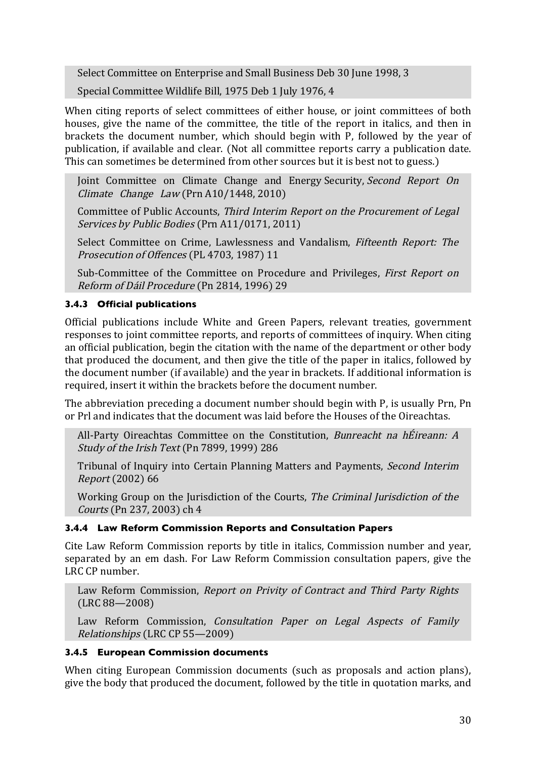Select Committee on Enterprise and Small Business Deb 30 June 1998, 3

Special Committee Wildlife Bill, 1975 Deb 1 July 1976, 4

When citing reports of select committees of either house, or joint committees of both houses, give the name of the committee, the title of the report in italics, and then in brackets the document number, which should begin with P, followed by the year of publication, if available and clear. (Not all committee reports carry a publication date. This can sometimes be determined from other sources but it is best not to guess.)

Joint Committee on Climate Change and Energy Security, Second Report On Climate Change Law (Prn A10/1448, 2010)

Committee of Public Accounts, Third Interim Report on the Procurement of Legal Services by Public Bodies (Prn A11/0171, 2011)

Select Committee on Crime, Lawlessness and Vandalism, Fifteenth Report: The Prosecution of Offences (PL 4703, 1987) 11

Sub-Committee of the Committee on Procedure and Privileges, First Report on Reform of Dáil Procedure (Pn 2814, 1996) 29

#### **3.4.3 Official publications**

Official publications include White and Green Papers, relevant treaties, government responses to joint committee reports, and reports of committees of inquiry. When citing an official publication, begin the citation with the name of the department or other body that produced the document, and then give the title of the paper in italics, followed by the document number (if available) and the year in brackets. If additional information is required, insert it within the brackets before the document number.

The abbreviation preceding a document number should begin with P, is usually Prn, Pn or Prl and indicates that the document was laid before the Houses of the Oireachtas.

All-Party Oireachtas Committee on the Constitution, Bunreacht na hÉireann: A Study of the Irish Text (Pn 7899, 1999) 286

Tribunal of Inquiry into Certain Planning Matters and Payments, Second Interim Report (2002) 66

Working Group on the Jurisdiction of the Courts, The Criminal Jurisdiction of the Courts (Pn 237, 2003) ch 4

#### **3.4.4 Law Reform Commission Reports and Consultation Papers**

Cite Law Reform Commission reports by title in italics, Commission number and year, separated by an em dash. For Law Reform Commission consultation papers, give the LRC CP number.

Law Reform Commission, Report on Privity of Contract and Third Party Rights (LRC 88—2008)

Law Reform Commission, Consultation Paper on Legal Aspects of Family Relationships (LRC CP 55—2009)

#### **3.4.5 European Commission documents**

When citing European Commission documents (such as proposals and action plans), give the body that produced the document, followed by the title in quotation marks, and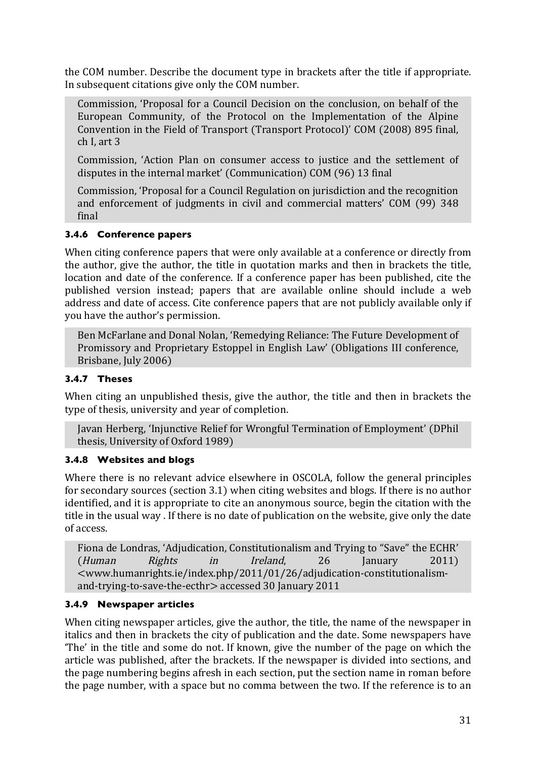the COM number. Describe the document type in brackets after the title if appropriate. In subsequent citations give only the COM number.

Commission, 'Proposal for a Council Decision on the conclusion, on behalf of the European Community, of the Protocol on the Implementation of the Alpine Convention in the Field of Transport (Transport Protocol)' COM (2008) 895 final, ch I, art 3

Commission, 'Action Plan on consumer access to justice and the settlement of disputes in the internal market' (Communication) COM (96) 13 final

Commission, 'Proposal for a Council Regulation on jurisdiction and the recognition and enforcement of judgments in civil and commercial matters' COM (99) 348 final

#### **3.4.6 Conference papers**

When citing conference papers that were only available at a conference or directly from the author, give the author, the title in quotation marks and then in brackets the title, location and date of the conference. If a conference paper has been published, cite the published version instead; papers that are available online should include a web address and date of access. Cite conference papers that are not publicly available only if you have the author's permission.

Ben McFarlane and Donal Nolan, 'Remedying Reliance: The Future Development of Promissory and Proprietary Estoppel in English Law' (Obligations III conference, Brisbane, July 2006)

#### **3.4.7 Theses**

When citing an unpublished thesis, give the author, the title and then in brackets the type of thesis, university and year of completion.

Javan Herberg, 'Injunctive Relief for Wrongful Termination of Employment' (DPhil thesis, University of Oxford 1989)

#### **3.4.8 Websites and blogs**

Where there is no relevant advice elsewhere in OSCOLA, follow the general principles for secondary sources (section 3.1) when citing websites and blogs. If there is no author identified, and it is appropriate to cite an anonymous source, begin the citation with the title in the usual way . If there is no date of publication on the website, give only the date of access.

Fiona de Londras, 'Adjudication, Constitutionalism and Trying to "Save" the ECHR' (Human Rights in Ireland, 26 January 2011) <www.humanrights.ie/index.php/2011/01/26/adjudication-constitutionalismand-trying-to-save-the-ecthr> accessed 30 January 2011

#### **3.4.9 Newspaper articles**

When citing newspaper articles, give the author, the title, the name of the newspaper in italics and then in brackets the city of publication and the date. Some newspapers have 'The' in the title and some do not. If known, give the number of the page on which the article was published, after the brackets. If the newspaper is divided into sections, and the page numbering begins afresh in each section, put the section name in roman before the page number, with a space but no comma between the two. If the reference is to an